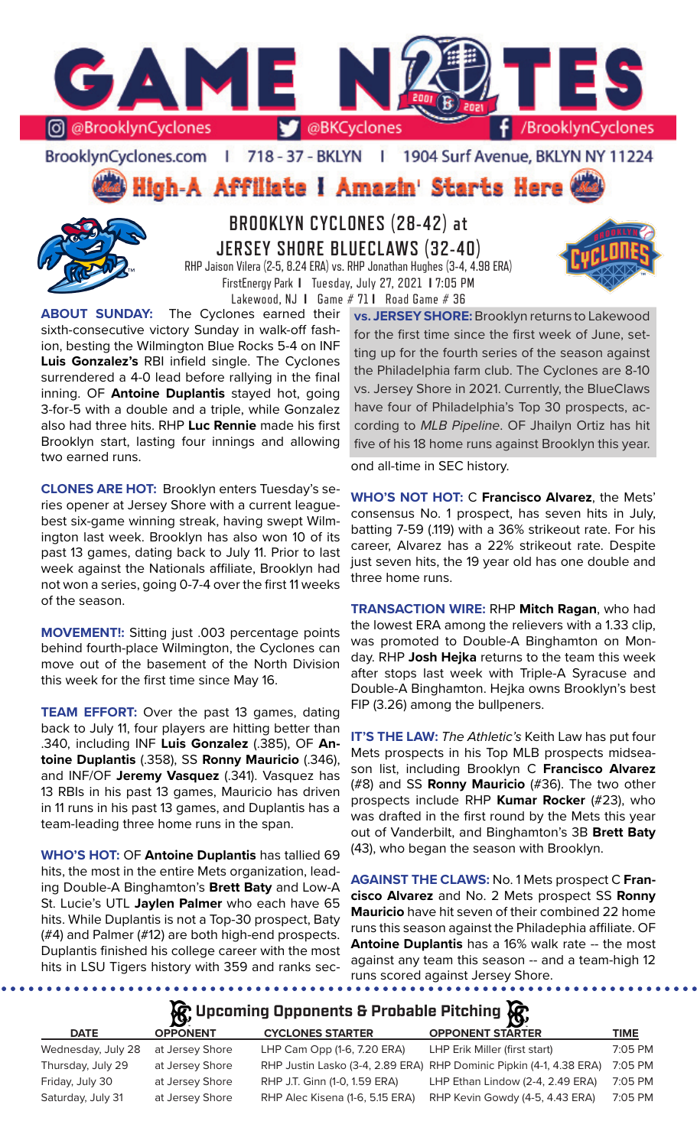

BrooklynCyclones.com | 718 - 37 - BKLYN - 11 1904 Surf Avenue, BKLYN NY 11224

**High-A Affiliate I Amazin' Starts Here** 



# **BROOKLYN CYCLONES (28-42) at JERSEY SHORE BLUECLAWS (32-40)** RHP Jaison Vilera (2-5, 8.24 ERA) vs. RHP Jonathan Hughes (3-4, 4.98 ERA) FirstEnergy Park **I** Tuesday, July 27, 2021 **I** 7:05 PM



**ABOUT SUNDAY:** The Cyclones earned their sixth-consecutive victory Sunday in walk-off fashion, besting the Wilmington Blue Rocks 5-4 on INF **Luis Gonzalez's** RBI infield single. The Cyclones surrendered a 4-0 lead before rallying in the final inning. OF **Antoine Duplantis** stayed hot, going 3-for-5 with a double and a triple, while Gonzalez also had three hits. RHP **Luc Rennie** made his first Brooklyn start, lasting four innings and allowing two earned runs.

**CLONES ARE HOT:** Brooklyn enters Tuesday's series opener at Jersey Shore with a current leaguebest six-game winning streak, having swept Wilmington last week. Brooklyn has also won 10 of its past 13 games, dating back to July 11. Prior to last week against the Nationals affiliate, Brooklyn had not won a series, going 0-7-4 over the first 11 weeks of the season.

**MOVEMENT!:** Sitting just .003 percentage points behind fourth-place Wilmington, the Cyclones can move out of the basement of the North Division this week for the first time since May 16.

**TEAM EFFORT:** Over the past 13 games, dating back to July 11, four players are hitting better than .340, including INF **Luis Gonzalez** (.385), OF **Antoine Duplantis** (.358), SS **Ronny Mauricio** (.346), and INF/OF **Jeremy Vasquez** (.341). Vasquez has 13 RBIs in his past 13 games, Mauricio has driven in 11 runs in his past 13 games, and Duplantis has a team-leading three home runs in the span.

**WHO'S HOT:** OF **Antoine Duplantis** has tallied 69 hits, the most in the entire Mets organization, leading Double-A Binghamton's **Brett Baty** and Low-A St. Lucie's UTL **Jaylen Palmer** who each have 65 hits. While Duplantis is not a Top-30 prospect, Baty (#4) and Palmer (#12) are both high-end prospects. Duplantis finished his college career with the most hits in LSU Tigers history with 359 and ranks sec-

.........

. . . . . . . . . . . . . . . . . . .

**vs. JERSEY SHORE:** Brooklyn returns to Lakewood for the first time since the first week of June, setting up for the fourth series of the season against the Philadelphia farm club. The Cyclones are 8-10 vs. Jersey Shore in 2021. Currently, the BlueClaws have four of Philadelphia's Top 30 prospects, according to *MLB Pipeline*. OF Jhailyn Ortiz has hit five of his 18 home runs against Brooklyn this year.

ond all-time in SEC history.

**WHO'S NOT HOT:** C **Francisco Alvarez**, the Mets' consensus No. 1 prospect, has seven hits in July, batting 7-59 (.119) with a 36% strikeout rate. For his career, Alvarez has a 22% strikeout rate. Despite just seven hits, the 19 year old has one double and three home runs.

**TRANSACTION WIRE:** RHP **Mitch Ragan**, who had the lowest ERA among the relievers with a 1.33 clip, was promoted to Double-A Binghamton on Monday. RHP **Josh Hejka** returns to the team this week after stops last week with Triple-A Syracuse and Double-A Binghamton. Hejka owns Brooklyn's best FIP (3.26) among the bullpeners.

**IT'S THE LAW:** *The Athletic's* Keith Law has put four Mets prospects in his Top MLB prospects midseason list, including Brooklyn C **Francisco Alvarez**  (#8) and SS **Ronny Mauricio** (#36). The two other prospects include RHP **Kumar Rocker** (#23), who was drafted in the first round by the Mets this year out of Vanderbilt, and Binghamton's 3B **Brett Baty** (43), who began the season with Brooklyn.

**AGAINST THE CLAWS:** No. 1 Mets prospect C **Francisco Alvarez** and No. 2 Mets prospect SS **Ronny Mauricio** have hit seven of their combined 22 home runs this season against the Philadephia affiliate. OF **Antoine Duplantis** has a 16% walk rate -- the most against any team this season -- and a team-high 12 runs scored against Jersey Shore.

# **Upcoming Opponents & Probable Pitching**

| <b>DATE</b>        | <b>OPPONENT</b> | <b>CYCLONES STARTER</b>         | <b>OPPONENT STARTER</b>                                             | TIME    |
|--------------------|-----------------|---------------------------------|---------------------------------------------------------------------|---------|
| Wednesday, July 28 | at Jersey Shore | LHP Cam Opp (1-6, 7.20 ERA)     | LHP Erik Miller (first start)                                       | 7:05 PM |
| Thursday, July 29  | at Jersey Shore |                                 | RHP Justin Lasko (3-4, 2.89 ERA) RHP Dominic Pipkin (4-1, 4.38 ERA) | 7:05 PM |
| Friday, July 30    | at Jersey Shore | RHP J.T. Ginn (1-0, 1.59 ERA)   | LHP Ethan Lindow (2-4, 2.49 ERA)                                    | 7:05 PM |
| Saturday, July 31  | at Jersey Shore | RHP Alec Kisena (1-6, 5.15 ERA) | RHP Kevin Gowdy (4-5, 4.43 ERA)                                     | 7:05 PM |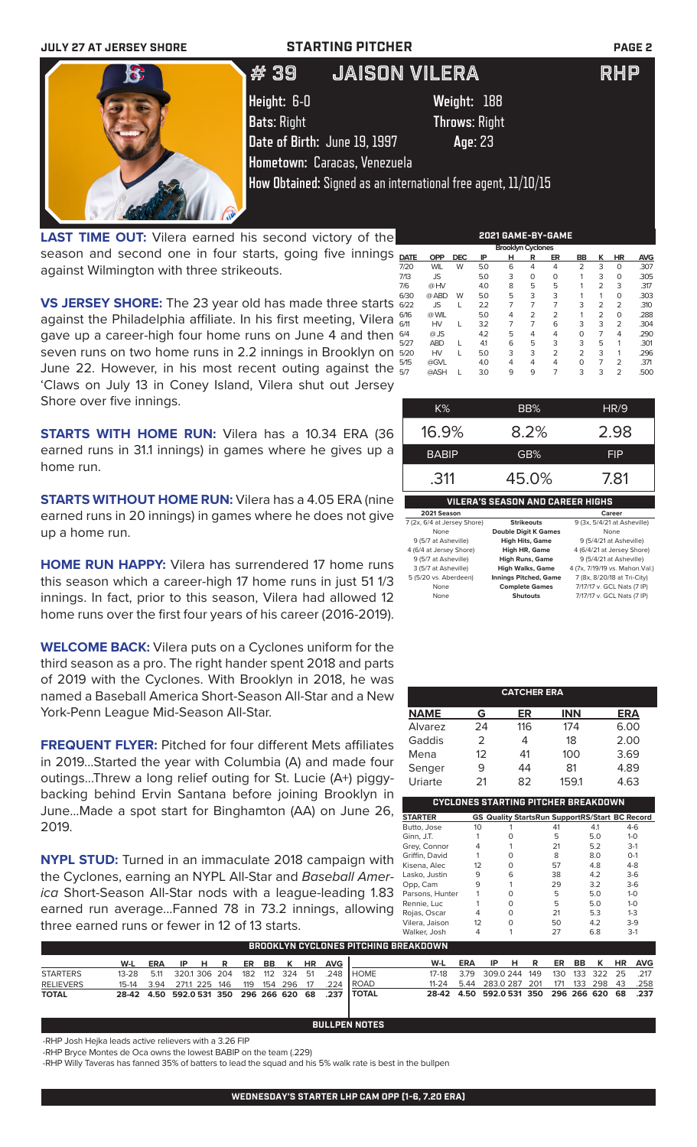| <b>JULY 27 AT JERSEY SHORE</b> | <b>STARTING PITCHER</b>      |                                                               | <b>PAGE 2</b> |
|--------------------------------|------------------------------|---------------------------------------------------------------|---------------|
| E.                             | # 39                         | <b>JAISON VILERA</b>                                          | <b>RHP</b>    |
|                                | Height: 6-0                  | Weight: 188                                                   |               |
|                                | <b>Bats: Right</b>           | <b>Throws: Right</b>                                          |               |
|                                | Date of Birth: June 19, 1997 | Age: 23                                                       |               |
|                                | Hometown: Caracas, Venezuela |                                                               |               |
|                                |                              | How Obtained: Signed as an international free agent, 11/10/15 |               |

**LAST TIME OUT:** Vilera earned his second victory of the season and second one in four starts, going five innings r against Wilmington with three strikeouts.

**VS JERSEY SHORE:** The 23 year old has made three starts against the Philadelphia affiliate. In his first meeting, Vilera gave up a career-high four home runs on June 4 and then seven runs on two home runs in 2.2 innings in Brooklyn on June 22. However, in his most recent outing against the 'Claws on July 13 in Coney Island, Vilera shut out Jersey Shore over five innings.

**STARTS WITH HOME RUN:** Vilera has a 10.34 ERA (36 earned runs in 31.1 innings) in games where he gives up a home run.

**STARTS WITHOUT HOME RUN:** Vilera has a 4.05 ERA (nine earned runs in 20 innings) in games where he does not give up a home run.

**HOME RUN HAPPY:** Vilera has surrendered 17 home runs this season which a career-high 17 home runs in just 51 1/3 innings. In fact, prior to this season, Vilera had allowed 12 home runs over the first four years of his career (2016-2019).

**WELCOME BACK:** Vilera puts on a Cyclones uniform for the third season as a pro. The right hander spent 2018 and parts of 2019 with the Cyclones. With Brooklyn in 2018, he was named a Baseball America Short-Season All-Star and a New York-Penn League Mid-Season All-Star.

**FREQUENT FLYER:** Pitched for four different Mets affiliates in 2019...Started the year with Columbia (A) and made four outings...Threw a long relief outing for St. Lucie (A+) piggybacking behind Ervin Santana before joining Brooklyn in June...Made a spot start for Binghamton (AA) on June 26, 2019.

**NYPL STUD:** Turned in an immaculate 2018 campaign with the Cyclones, earning an NYPL All-Star and *Baseball America* Short-Season All-Star nods with a league-leading 1.83 earned run average...Fanned 78 in 73.2 innings, allowing three earned runs or fewer in 12 of 13 starts.

| <b>Brooklyn Cyclones</b> |            |            |     |   |                |                |                |                |                |      |
|--------------------------|------------|------------|-----|---|----------------|----------------|----------------|----------------|----------------|------|
| <b>DATE</b>              | <b>OPP</b> | <b>DEC</b> | IP  | н | R              | ER             | BB             | κ              | ΗR             | AVG  |
| 7/20                     | <b>WIL</b> | W          | 5.0 | 6 | 4              | 4              | $\overline{2}$ | 3              | 0              | .307 |
| 7/13                     | JS         |            | 5.0 | 3 | 0              | O              | 1              | 3              | 0              | .305 |
| 7/6                      | @HV        |            | 4.0 | 8 | 5              | 5              |                | 2              | 3              | .317 |
| 6/30                     | @ ABD      | W          | 5.0 | 5 | 3              | 3              |                |                | 0              | .303 |
| 6/22                     | <b>JS</b>  | L          | 2.2 | 7 | 7              | 7              | 3              | $\overline{2}$ | $\overline{2}$ | .310 |
| 6/16                     | @ WIL      |            | 5.0 | 4 | $\overline{2}$ | 2              | 1              | $\overline{2}$ | 0              | .288 |
| 6/11                     | HV         | L          | 3.2 | 7 | 7              | 6              | 3              | 3              | $\overline{2}$ | .304 |
| 6/4                      | $@$ JS     |            | 4.2 | 5 | 4              | 4              | 0              | 7              | 4              | .290 |
| 5/27                     | <b>ABD</b> |            | 4.1 | 6 | 5              | 3              | 3              | 5              | 1              | .301 |
| 5/20                     | HV         | L          | 5.0 | 3 | 3              | $\overline{2}$ | $\overline{2}$ | 3              | 1              | .296 |
| 5/15                     | @GVL       |            | 4.0 | 4 | 4              | 4              | 0              | 7              | $\overline{2}$ | .371 |
| 5/7                      | @ASH       |            | 3.0 | 9 | 9              | 7              | 3              | 3              | $\overline{2}$ | .500 |

**2021 GAME-BY-GAME**

| $K\%$                      | BB%                                     | HR/9                        |
|----------------------------|-----------------------------------------|-----------------------------|
| 16.9%                      | 8.2%                                    | 2.98                        |
| <b>BABIP</b>               | GB%                                     | <b>FIP</b>                  |
| .311                       | 45.0%                                   | 7.81                        |
|                            | <b>VILERA'S SEASON AND CAREER HIGHS</b> |                             |
| 2021 Season                |                                         | Career                      |
| 7 (2x 6/4 at Jersey Shore) | Strikeouts                              | $9(3x 5/4/21$ at Asheville) |

| 7 (2x, 6/4 at Jersey Shore) | <b>Strikeouts</b>            | 9 (3x, 5/4/21 at Asheville)     |
|-----------------------------|------------------------------|---------------------------------|
| None                        | <b>Double Digit K Games</b>  | None                            |
| 9 (5/7 at Asheville)        | <b>High Hits, Game</b>       | 9 (5/4/21 at Asheville)         |
| 4 (6/4 at Jersey Shore)     | <b>High HR, Game</b>         | 4 (6/4/21 at Jersey Shore)      |
| 9 (5/7 at Asheville)        | <b>High Runs, Game</b>       | 9 (5/4/21 at Asheville)         |
| 3 (5/7 at Asheville)        | <b>High Walks, Game</b>      | 4 (7x, 7/19/19 vs. Mahon. Val.) |
| 5 (5/20 vs. Aberdeen)       | <b>Innings Pitched, Game</b> | 7 (8x, 8/20/18 at Tri-City)     |
| None                        | <b>Complete Games</b>        | 7/17/17 v. GCL Nats (7 IP)      |
| None                        | <b>Shutouts</b>              | 7/17/17 v. GCL Nats (7 IP)      |
|                             |                              |                                 |

| <b>CATCHER ERA</b> |    |     |            |            |  |  |
|--------------------|----|-----|------------|------------|--|--|
| <b>NAME</b>        | G  | ER  | <b>INN</b> | <b>ERA</b> |  |  |
| Alvarez            | 24 | 116 | 174        | 6.00       |  |  |
| Gaddis             | 2  | 4   | 18         | 2.00       |  |  |
| Mena               | 12 | 41  | 100        | 3.69       |  |  |
| Senger             | 9  | 44  | 81         | 4.89       |  |  |
| Uriarte            | 21 | 82  | 159.1      | 4.63       |  |  |

| CYCLONES STARTING PITCHER BREAKDOWN |    |                                                       |    |     |         |  |  |
|-------------------------------------|----|-------------------------------------------------------|----|-----|---------|--|--|
| <b>STARTER</b>                      |    | <b>GS Quality StartsRun SupportRS/Start BC Record</b> |    |     |         |  |  |
| Butto, Jose                         | 10 |                                                       | 41 | 4.1 | $4-6$   |  |  |
| Ginn, J.T.                          |    |                                                       | 5  | 5.0 | $1 - 0$ |  |  |
| Grey, Connor                        | 4  |                                                       | 21 | 5.2 | $3-1$   |  |  |
| Griffin, David                      |    |                                                       | 8  | 8.0 | $O-1$   |  |  |
| Kisena, Alec                        | 12 |                                                       | 57 | 4.8 | $4 - 8$ |  |  |
| Lasko, Justin                       | 9  | 6                                                     | 38 | 4.2 | $3-6$   |  |  |
| Opp, Cam                            | 9  |                                                       | 29 | 3.2 | $3-6$   |  |  |
| Parsons, Hunter                     |    |                                                       | 5  | 5.0 | $1 - 0$ |  |  |
| Rennie, Luc                         |    |                                                       | 5  | 5.0 | $1 - 0$ |  |  |
| Rojas, Oscar                        | 4  |                                                       | 21 | 5.3 | $1 - 3$ |  |  |
| Vilera, Jaison                      | 12 |                                                       | 50 | 4.2 | $3-9$   |  |  |
| Walker, Josh                        | 4  |                                                       | 27 | 6.8 | $3-1$   |  |  |

|                                   | BROOKLYN CYCLONES PITCHING BREAKDOWN |  |  |  |  |  |  |  |  |                          |                                                             |                                              |  |  |  |  |                |
|-----------------------------------|--------------------------------------|--|--|--|--|--|--|--|--|--------------------------|-------------------------------------------------------------|----------------------------------------------|--|--|--|--|----------------|
| <b>Contract Contract Contract</b> | W-L                                  |  |  |  |  |  |  |  |  | ERA IP HR ER BB K HR AVG |                                                             | W-L ERA IP H R                               |  |  |  |  | ER BB K HR AVG |
| <b>STARTERS</b>                   |                                      |  |  |  |  |  |  |  |  |                          | 13-28  5.11  320.1  306  204  182  112  324  51  .248  HOME | 17-18 3.79 309.0 244 149 130 133 322 25 .217 |  |  |  |  |                |
| <b>RELIEVERS</b>                  |                                      |  |  |  |  |  |  |  |  |                          | 15-14  3.94  271.1  225  146  119  154  296  17  .224  ROAD | 11-24 5.44 283.0 287 201 171 133 298 43 .258 |  |  |  |  |                |
| <b>TOTAL</b>                      |                                      |  |  |  |  |  |  |  |  |                          | 28-42 4.50 592.0 531 350 296 266 620 68 .237 TOTAL          | 28-42 4.50 592.0 531 350 296 266 620 68 .237 |  |  |  |  |                |

**BULLPEN NOTES**

-RHP Josh Hejka leads active relievers with a 3.26 FIP

-RHP Bryce Montes de Oca owns the lowest BABIP on the team (.229)

-RHP Willy Taveras has fanned 35% of batters to lead the squad and his 5% walk rate is best in the bullpen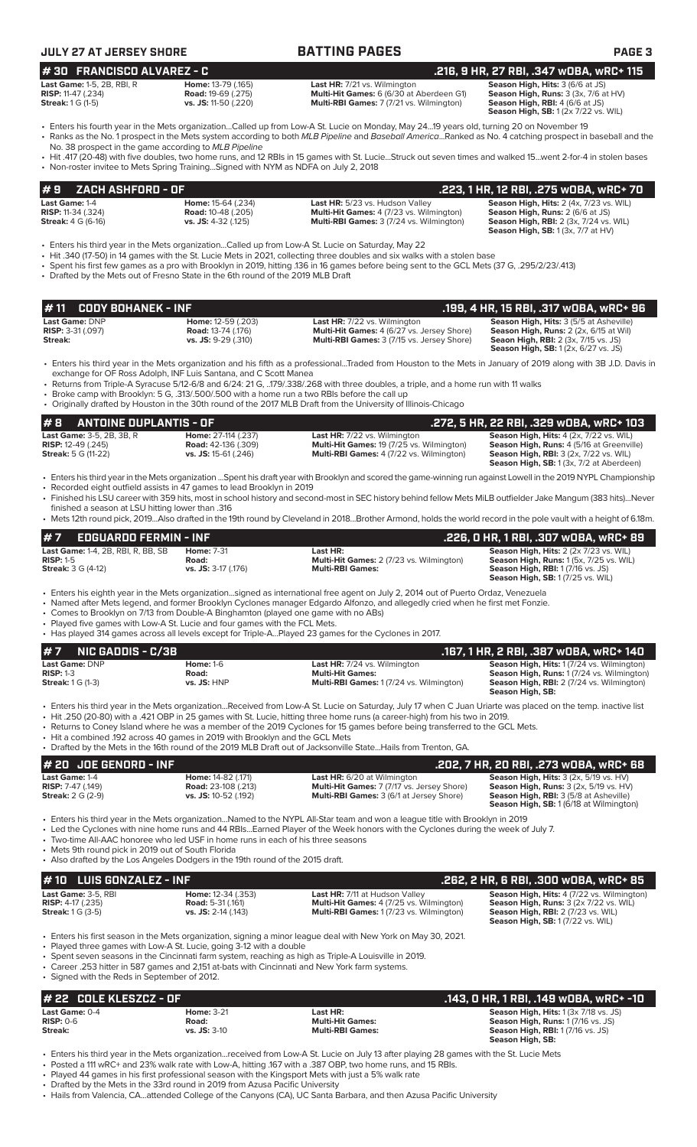| #30 FRANCISCO ALVAREZ - C                                                              |                                                                                                                                                                    |                                                                                                                                                                                                                                                                                                                                                                                                                                                                                                                                               | .216, 9 HR, 27 RBI, .347 wOBA, wRC+ 115                                                                                                                                           |
|----------------------------------------------------------------------------------------|--------------------------------------------------------------------------------------------------------------------------------------------------------------------|-----------------------------------------------------------------------------------------------------------------------------------------------------------------------------------------------------------------------------------------------------------------------------------------------------------------------------------------------------------------------------------------------------------------------------------------------------------------------------------------------------------------------------------------------|-----------------------------------------------------------------------------------------------------------------------------------------------------------------------------------|
| Last Game: 1-5, 2B, RBI, R<br><b>RISP:</b> 11-47 (.234)<br><b>Streak: 1 G (1-5)</b>    | Home: 13-79 (.165)<br><b>Road: 19-69 (.275)</b><br>vs. JS: 11-50 (.220)                                                                                            | Last HR: 7/21 vs. Wilmington<br>Multi-Hit Games: 6 (6/30 at Aberdeen G1)<br>Multi-RBI Games: 7 (7/21 vs. Wilmington)                                                                                                                                                                                                                                                                                                                                                                                                                          | Season High, Hits: 3 (6/6 at JS)<br>Season High, Runs: 3 (3x, 7/6 at HV)<br>Season High, RBI: 4 (6/6 at JS)<br>Season High, SB: 1 (2x 7/22 vs. WIL)                               |
|                                                                                        | No. 38 prospect in the game according to MLB Pipeline<br>• Non-roster invitee to Mets Spring TrainingSigned with NYM as NDFA on July 2, 2018                       | · Enters his fourth year in the Mets organizationCalled up from Low-A St. Lucie on Monday, May 2419 years old, turning 20 on November 19<br>• Ranks as the No. 1 prospect in the Mets system according to both MLB Pipeline and Baseball AmericaRanked as No. 4 catching prospect in baseball and the<br>• Hit .417 (20-48) with five doubles, two home runs, and 12 RBIs in 15 games with St. LucieStruck out seven times and walked 15went 2-for-4 in stolen bases                                                                          |                                                                                                                                                                                   |
|                                                                                        |                                                                                                                                                                    |                                                                                                                                                                                                                                                                                                                                                                                                                                                                                                                                               |                                                                                                                                                                                   |
| ZACH ASHFORD - OF<br>#9<br>Last Game: 1-4                                              | Home: 15-64 (.234)                                                                                                                                                 | Last HR: 5/23 vs. Hudson Valley                                                                                                                                                                                                                                                                                                                                                                                                                                                                                                               | .223, 1 HR, 12 RBI, .275 wOBA, wRC+ 70<br>Season High, Hits: 2 (4x, 7/23 vs. WIL)                                                                                                 |
| RISP: 11-34 (.324)<br><b>Streak: 4 G (6-16)</b>                                        | <b>Road: 10-48 (.205)</b><br>vs. JS: 4-32 (.125)                                                                                                                   | Multi-Hit Games: 4 (7/23 vs. Wilmington)<br>Multi-RBI Games: 3 (7/24 vs. Wilmington)                                                                                                                                                                                                                                                                                                                                                                                                                                                          | Season High, Runs: 2 (6/6 at JS)<br>Season High, RBI: 2 (3x, 7/24 vs. WIL)<br><b>Season High, SB: 1 (3x, 7/7 at HV)</b>                                                           |
|                                                                                        | • Drafted by the Mets out of Fresno State in the 6th round of the 2019 MLB Draft                                                                                   | Enters his third year in the Mets organizationCalled up from Low-A St. Lucie on Saturday, May 22<br>• Hit .340 (17-50) in 14 games with the St. Lucie Mets in 2021, collecting three doubles and six walks with a stolen base<br>• Spent his first few games as a pro with Brooklyn in 2019, hitting .136 in 16 games before being sent to the GCL Mets (37 G, .295/2/23/.413)                                                                                                                                                                |                                                                                                                                                                                   |
| # 11<br><b>CODY BOHANEK - INF</b>                                                      |                                                                                                                                                                    |                                                                                                                                                                                                                                                                                                                                                                                                                                                                                                                                               | .199, 4 HR, 15 RBI, .317 WOBA, WRC+ 96                                                                                                                                            |
| Last Game: DNP<br><b>RISP: 3-31 (.097)</b><br><b>Streak:</b>                           | Home: 12-59 (.203)<br><b>Road: 13-74 (.176)</b><br>vs. JS: 9-29 (.310)                                                                                             | Last HR: 7/22 vs. Wilmington<br>Multi-Hit Games: 4 (6/27 vs. Jersey Shore)<br>Multi-RBI Games: 3 (7/15 vs. Jersey Shore)                                                                                                                                                                                                                                                                                                                                                                                                                      | Season High, Hits: 3 (5/5 at Asheville)<br>Season High, Runs: 2 (2x, 6/15 at Wil)<br><b>Seaon High, RBI:</b> 2 (3x, 7/15 vs. JS)<br><b>Season High, SB:</b> 1 (2x, 6/27 vs. JS)   |
|                                                                                        | exchange for OF Ross Adolph, INF Luis Santana, and C Scott Manea                                                                                                   | • Enters his third year in the Mets organization and his fifth as a professionalTraded from Houston to the Mets in January of 2019 along with 3B J.D. Davis in                                                                                                                                                                                                                                                                                                                                                                                |                                                                                                                                                                                   |
|                                                                                        |                                                                                                                                                                    | • Returns from Triple-A Syracuse 5/12-6/8 and 6/24: 21 G, 179/.338/.268 with three doubles, a triple, and a home run with 11 walks<br>• Broke camp with Brooklyn: 5 G, .313/.500/.500 with a home run a two RBIs before the call up<br>• Originally drafted by Houston in the 30th round of the 2017 MLB Draft from the University of Illinois-Chicago                                                                                                                                                                                        |                                                                                                                                                                                   |
| #8<br><b>ANTOINE DUPLANTIS - OF</b>                                                    |                                                                                                                                                                    |                                                                                                                                                                                                                                                                                                                                                                                                                                                                                                                                               | .272, 5 HR, 22 RBI, .329 wOBA, wRC+ 103                                                                                                                                           |
| Last Game: 3-5, 2B, 3B, R<br><b>RISP:</b> 12-49 $(.245)$<br><b>Streak:</b> 5 G (11-22) | Home: 27-114 (.237)<br><b>Road:</b> 42-136 (.309)<br>vs. JS: 15-61 (.246)                                                                                          | Last HR: 7/22 vs. Wilmington<br>Multi-Hit Games: 19 (7/25 vs. Wilmington)<br>Multi-RBI Games: 4 (7/22 vs. Wilmington)                                                                                                                                                                                                                                                                                                                                                                                                                         | Season High, Hits: 4 (2x, 7/22 vs. WIL)<br>Season High, Runs: 4 (5/16 at Greenville)<br><b>Season High, RBI: 3 (2x, 7/22 vs. WIL)</b><br>Season High, SB: 1 (3x, 7/2 at Aberdeen) |
| finished a season at LSU hitting lower than .316                                       | • Recorded eight outfield assists in 47 games to lead Brooklyn in 2019                                                                                             | · Enters his third year in the Mets organization Spent his draft year with Brooklyn and scored the game-winning run against Lowell in the 2019 NYPL Championship<br>· Finished his LSU career with 359 hits, most in school history and second-most in SEC history behind fellow Mets MiLB outfielder Jake Mangum (383 hits)Never                                                                                                                                                                                                             |                                                                                                                                                                                   |
|                                                                                        |                                                                                                                                                                    | • Mets 12th round pick, 2019Also drafted in the 19th round by Cleveland in 2018Brother Armond, holds the world record in the pole vault with a height of 6.18m.                                                                                                                                                                                                                                                                                                                                                                               |                                                                                                                                                                                   |
| #7<br><b>EDGUARDO FERMIN - INF</b>                                                     |                                                                                                                                                                    |                                                                                                                                                                                                                                                                                                                                                                                                                                                                                                                                               | .226, 0 HR, 1 RBI, .307 w0BA, wRC+ 89                                                                                                                                             |
| Last Game: 1-4, 2B, RBI, R, BB, SB<br><b>RISP: 1-5</b><br><b>Streak: 3 G (4-12)</b>    | <b>Home: 7-31</b><br>Road:<br>vs. JS: 3-17 (.176)                                                                                                                  | Last HR:<br>Multi-Hit Games: 2 (7/23 vs. Wilmington)<br><b>Multi-RBI Games:</b>                                                                                                                                                                                                                                                                                                                                                                                                                                                               | Season High, Hits: 2 (2x 7/23 vs. WIL)<br>Season High, Runs: 1 (5x, 7/25 vs. WIL)<br><b>Season High, RBI:</b> 1 (7/16 vs. JS)<br><b>Season High, SB:</b> 1 (7/25 vs. WIL)         |
|                                                                                        | • Comes to Brooklyn on 7/13 from Double-A Binghamton (played one game with no ABs)<br>• Played five games with Low-A St. Lucie and four games with the FCL Mets.   | • Enters his eighth year in the Mets organizationsigned as international free agent on July 2, 2014 out of Puerto Ordaz, Venezuela<br>• Named after Mets legend, and former Brooklyn Cyclones manager Edgardo Alfonzo, and allegedly cried when he first met Fonzie.<br>• Has played 314 games across all levels except for Triple-APlayed 23 games for the Cyclones in 2017.                                                                                                                                                                 |                                                                                                                                                                                   |
| #7<br><b>NIC GADDIS - C/3B</b>                                                         |                                                                                                                                                                    |                                                                                                                                                                                                                                                                                                                                                                                                                                                                                                                                               | .167, 1 HR, 2 RBI, .387 wOBA, wRC+ 140                                                                                                                                            |
| Last Game: DNP<br>$RISP: 1-3$<br><b>Streak:</b> 1 G (1-3)                              | <b>Home: 1-6</b><br>Road:<br>vs. JS: HNP                                                                                                                           | Last HR: 7/24 vs. Wilmington<br><b>Multi-Hit Games:</b><br>Multi-RBI Games: 1 (7/24 vs. Wilmington)                                                                                                                                                                                                                                                                                                                                                                                                                                           | Season High, Hits: 1 (7/24 vs. Wilmington)<br>Season High, Runs: 1 (7/24 vs. Wilmington)<br>Season High, RBI: 2 (7/24 vs. Wilmington)<br>Season High, SB:                         |
|                                                                                        | • Hit a combined .192 across 40 games in 2019 with Brooklyn and the GCL Mets                                                                                       | • Enters his third year in the Mets organizationReceived from Low-A St. Lucie on Saturday, July 17 when C Juan Uriarte was placed on the temp. inactive list<br>. Hit .250 (20-80) with a .421 OBP in 25 games with St. Lucie, hitting three home runs (a career-high) from his two in 2019.<br>• Returns to Coney Island where he was a member of the 2019 Cyclones for 15 games before being transferred to the GCL Mets.<br>• Drafted by the Mets in the 16th round of the 2019 MLB Draft out of Jacksonville StateHails from Trenton, GA. |                                                                                                                                                                                   |
| # 20 JOE GENORD - INF                                                                  |                                                                                                                                                                    |                                                                                                                                                                                                                                                                                                                                                                                                                                                                                                                                               | .202, 7 HR, 20 RBI, .273 w0BA, wRC+ 68                                                                                                                                            |
| Last Game: 1-4                                                                         | Home: 14-82 (.171)                                                                                                                                                 | <b>Last HR:</b> 6/20 at Wilmington                                                                                                                                                                                                                                                                                                                                                                                                                                                                                                            | Season High, Hits: 3 (2x, 5/19 vs. HV)                                                                                                                                            |
| <b>RISP:</b> 7-47 (.149)<br><b>Streak: 2 G (2-9)</b>                                   | <b>Road:</b> 23-108 (.213)<br>vs. JS: 10-52 (.192)                                                                                                                 | Multi-Hit Games: 7 (7/17 vs. Jersey Shore)<br><b>Multi-RBI Games: 3 (6/1 at Jersey Shore)</b>                                                                                                                                                                                                                                                                                                                                                                                                                                                 | <b>Season High, Runs: 3 (2x, 5/19 vs. HV)</b><br>Season High, RBI: 3 (5/8 at Asheville)<br><b>Season High, SB: 1 (6/18 at Wilmington)</b>                                         |
| • Mets 9th round pick in 2019 out of South Florida                                     | • Two-time All-AAC honoree who led USF in home runs in each of his three seasons<br>• Also drafted by the Los Angeles Dodgers in the 19th round of the 2015 draft. | • Enters his third year in the Mets organizationNamed to the NYPL All-Star team and won a league title with Brooklyn in 2019<br>• Led the Cyclones with nine home runs and 44 RBIsEarned Player of the Week honors with the Cyclones during the week of July 7.                                                                                                                                                                                                                                                                               |                                                                                                                                                                                   |
| <b>LUIS GONZALEZ - INF</b><br># 10                                                     |                                                                                                                                                                    |                                                                                                                                                                                                                                                                                                                                                                                                                                                                                                                                               | .262, 2 HR, 6 RBI, .300 w0BA, wRC+ 85                                                                                                                                             |
| Last Game: 3-5, RBI<br><b>RISP:</b> 4-17 (.235)<br><b>Streak:</b> 1 G (3-5)            | Home: 12-34 (.353)<br><b>Road: 5-31 (.161)</b><br>vs. JS: $2-14$ (.143)                                                                                            | Last HR: 7/11 at Hudson Valley<br>Multi-Hit Games: 4 (7/25 vs. Wilmington)<br>Multi-RBI Games: 1 (7/23 vs. Wilmington)                                                                                                                                                                                                                                                                                                                                                                                                                        | Season High, Hits: 4 (7/22 vs. Wilmington)<br>Season High, Runs: 3 (2x 7/22 vs. WIL)<br>Season High, RBI: 2 (7/23 vs. WIL)<br><b>Season High, SB:</b> 1 (7/22 vs. WIL)            |
| • Signed with the Reds in September of 2012.                                           | • Played three games with Low-A St. Lucie, going 3-12 with a double                                                                                                | • Enters his first season in the Mets organization, signing a minor league deal with New York on May 30, 2021.<br>• Spent seven seasons in the Cincinnati farm system, reaching as high as Triple-A Louisville in 2019.<br>• Career .253 hitter in 587 games and 2,151 at-bats with Cincinnati and New York farm systems.                                                                                                                                                                                                                     |                                                                                                                                                                                   |
| <b>COLE KLESZCZ - OF</b>                                                               |                                                                                                                                                                    |                                                                                                                                                                                                                                                                                                                                                                                                                                                                                                                                               | .143, 0 HR, 1 RBI, .149 wOBA, wRC+ -10                                                                                                                                            |
| Last Game: 0-4<br>$RISP: 0-6$<br>Streak:                                               | <b>Home: 3-21</b><br>Road:<br>vs. JS: 3-10                                                                                                                         | Last HR:<br><b>Multi-Hit Games:</b><br><b>Multi-RBI Games:</b>                                                                                                                                                                                                                                                                                                                                                                                                                                                                                | Season High, Hits: 1 (3x 7/18 vs. JS)<br>Season High, Runs: 1 (7/16 vs. JS)<br><b>Season High, RBI:</b> 1 (7/16 vs. JS)<br>Season High, SB:                                       |

**JULY 27 AT JERSEY SHORE BATTING PAGES PAGE 3**

• Enters his third year in the Mets organization...received from Low-A St. Lucie on July 13 after playing 28 games with the St. Lucie Mets

• Posted a 111 wRC+ and 23% walk rate with Low-A, hitting .167 with a .387 OBP, two home runs, and 15 RBIs.

• Played 44 games in his first professional season with the Kingsport Mets with just a 5% walk rate • Drafted by the Mets in the 33rd round in 2019 from Azusa Pacific University

• Hails from Valencia, CA...attended College of the Canyons (CA), UC Santa Barbara, and then Azusa Pacific University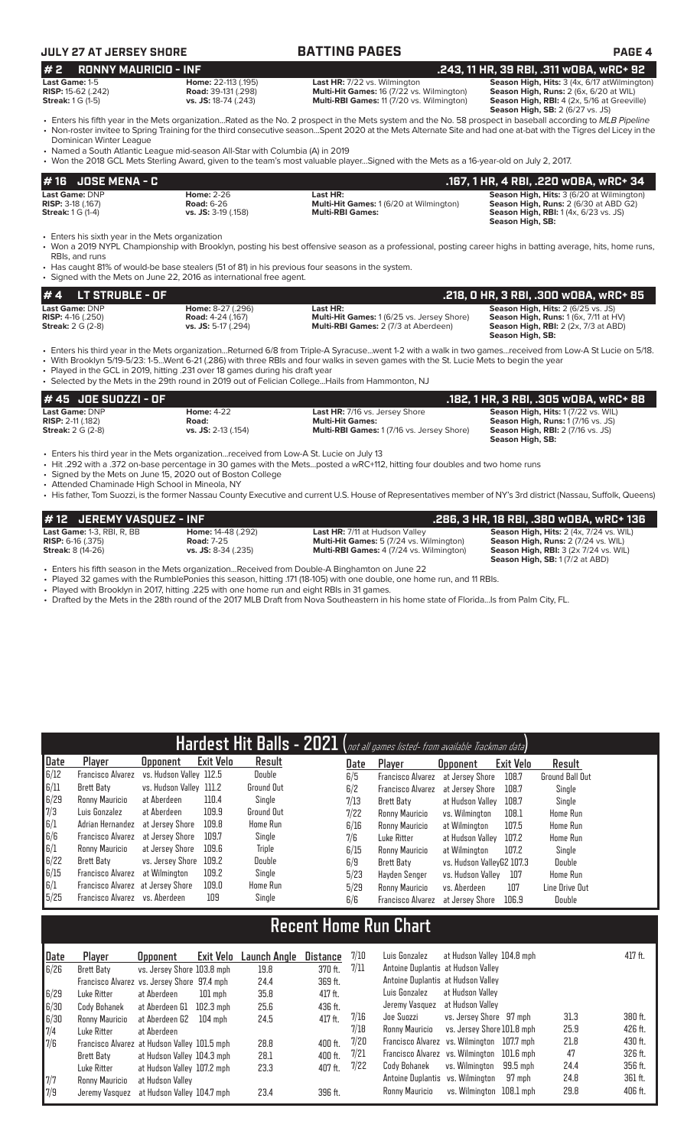# **JULY 27 AT JERSEY SHORE BATTING PAGES PAGE 4**

| <b>RONNY MAURICIO - INF</b><br>#2                                               |                                                                                                                                                                           | .243, 11 HR, 39 RBI, .311 wOBA, wRC+ 92                                                                                                                                                                                                                                                                                                                                                                                                                                     |                                                                                                                                                                                   |  |  |  |  |  |
|---------------------------------------------------------------------------------|---------------------------------------------------------------------------------------------------------------------------------------------------------------------------|-----------------------------------------------------------------------------------------------------------------------------------------------------------------------------------------------------------------------------------------------------------------------------------------------------------------------------------------------------------------------------------------------------------------------------------------------------------------------------|-----------------------------------------------------------------------------------------------------------------------------------------------------------------------------------|--|--|--|--|--|
| Last Game: 1-5<br><b>RISP:</b> 15-62 (.242)<br><b>Streak:</b> 1 G (1-5)         | Home: 22-113 (.195)<br><b>Road: 39-131 (.298)</b><br>vs. JS: 18-74 (.243)                                                                                                 | <b>Last HR:</b> 7/22 vs. Wilmington<br><b>Multi-Hit Games: 16 (7/22 vs. Wilmington)</b><br>Multi-RBI Games: 11 (7/20 vs. Wilmington)                                                                                                                                                                                                                                                                                                                                        | Season High, Hits: 3 (4x, 6/17 at Wilmington)<br>Season High, Runs: 2 (6x, 6/20 at WIL)<br>Season High, RBI: 4 (2x, 5/16 at Greeville)<br><b>Season High, SB: 2 (6/27 vs. JS)</b> |  |  |  |  |  |
| Dominican Winter League                                                         | • Named a South Atlantic League mid-season All-Star with Columbia (A) in 2019                                                                                             | • Enters his fifth year in the Mets organizationRated as the No. 2 prospect in the Mets system and the No. 58 prospect in baseball according to MLB Pipeline<br>• Non-roster invitee to Spring Training for the third consecutive seasonSpent 2020 at the Mets Alternate Site and had one at-bat with the Tigres del Licey in the<br>• Won the 2018 GCL Mets Sterling Award, given to the team's most valuable playerSigned with the Mets as a 16-year-old on July 2, 2017. |                                                                                                                                                                                   |  |  |  |  |  |
| <b>JOSE MENA - C</b><br>#16                                                     |                                                                                                                                                                           |                                                                                                                                                                                                                                                                                                                                                                                                                                                                             | .167, 1 HR, 4 RBI, .220 w0BA, wRC+ 34                                                                                                                                             |  |  |  |  |  |
| Last Game: DNP<br><b>RISP: 3-18 (.167)</b><br><b>Streak:</b> 1 G (1-4)          | <b>Home: 2-26</b><br><b>Road: 6-26</b><br>vs. JS: 3-19 (.158)                                                                                                             | Last HR:<br><b>Multi-Hit Games: 1(6/20 at Wilmington)</b><br><b>Multi-RBI Games:</b>                                                                                                                                                                                                                                                                                                                                                                                        | Season High, Hits: 3 (6/20 at Wilmington)<br><b>Season High, Runs: 2 (6/30 at ABD G2)</b><br><b>Season High, RBI:</b> 1 (4x, 6/23 vs. JS)<br>Season High, SB:                     |  |  |  |  |  |
| • Enters his sixth year in the Mets organization<br>RBIs, and runs              | • Has caught 81% of would-be base stealers (51 of 81) in his previous four seasons in the system.<br>• Signed with the Mets on June 22, 2016 as international free agent. | • Won a 2019 NYPL Championship with Brooklyn, posting his best offensive season as a professional, posting career highs in batting average, hits, home runs,                                                                                                                                                                                                                                                                                                                |                                                                                                                                                                                   |  |  |  |  |  |
| #4<br><b>LT STRUBLE - OF</b>                                                    |                                                                                                                                                                           |                                                                                                                                                                                                                                                                                                                                                                                                                                                                             | .218, 0 HR, 3 RBI, .300 w0BA, wRC+ 85                                                                                                                                             |  |  |  |  |  |
| <b>Last Game: DNP</b><br><b>RISP:</b> $4-16$ (.250)<br><b>Streak: 2 G (2-8)</b> | Home: 8-27 (.296)<br><b>Road: 4-24 (.167)</b><br>vs. JS: 5-17 (.294)                                                                                                      | Last HR:<br><b>Multi-Hit Games: 1 (6/25 vs. Jersey Shore)</b><br>Multi-RBI Games: 2 (7/3 at Aberdeen)                                                                                                                                                                                                                                                                                                                                                                       | Season High, Hits: 2 (6/25 vs. JS)<br>Season High, Runs: 1 (6x, 7/11 at HV)<br><b>Season High, RBI:</b> 2 (2x, 7/3 at ABD)                                                        |  |  |  |  |  |

• Enters his third year in the Mets organization...Returned 6/8 from Triple-A Syracuse...went 1-2 with a walk in two games...received from Low-A St Lucie on 5/18.

• With Brooklyn 5/19-5/23: 1-5...Went 6-21 (.286) with three RBIs and four walks in seven games with the St. Lucie Mets to begin the year

**Multi-RBI Games:** 2 (7/3 at Aberdeen)

**Season High, SB:** 

Played in the GCL in 2019, hitting .231 over 18 games during his draft year

• Selected by the Mets in the 29th round in 2019 out of Felician College...Hails from Hammonton, NJ

| # 45 JOE SUOZZI - OF       |                     |                                                  | .182, 1 HR, 3 RBI, .305 wOBA, wRC+ 88      |
|----------------------------|---------------------|--------------------------------------------------|--------------------------------------------|
| <b>Last Game: DNP</b>      | <b>Home: 4-22</b>   | <b>Last HR: 7/16 vs. Jersey Shore</b>            | <b>Season High, Hits: 1 (7/22 vs. WIL)</b> |
| <b>RISP:</b> $2-11$ (.182) | Road:               | <b>Multi-Hit Games:</b>                          | <b>Season High, Runs: 1(7/16 vs. JS)</b>   |
| <b>Streak:</b> $2 G (2-8)$ | vs. JS: 2-13 (.154) | <b>Multi-RBI Games: 1(7/16 vs. Jersey Shore)</b> | <b>Season High, RBI:</b> 2 (7/16 vs. JS)   |
|                            |                     |                                                  | Season High, SB:                           |

• Enters his third year in the Mets organization...received from Low-A St. Lucie on July 13

• Hit .292 with a .372 on-base percentage in 30 games with the Mets...posted a wRC+112, hitting four doubles and two home runs

• Signed by the Mets on June 15, 2020 out of Boston College

• Attended Chaminade High School in Mineola, NY

• His father, Tom Suozzi, is the former Nassau County Executive and current U.S. House of Representatives member of NY's 3rd district (Nassau, Suffolk, Queens)

| #12 JEREMY VASQUEZ - INF     |                           |                                                 | .286, 3 HR, 18 RBI, .380 WOBA, WRC+ 136              |
|------------------------------|---------------------------|-------------------------------------------------|------------------------------------------------------|
| Last Game: 1-3, RBI, R, BB   | <b>Home: 14-48 (.292)</b> | Last HR: 7/11 at Hudson Valley                  | <b>Season High, Hits:</b> $2(4x, 7/24$ vs. WIL)      |
| <b>RISP:</b> $6-16$ $(.375)$ | <b>Road: 7-25</b>         | <b>Multi-Hit Games:</b> 5 (7/24 vs. Wilmington) | <b>Season High, Runs: 2 (7/24 vs. WIL)</b>           |
| <b>Streak: 8 (14-26)</b>     | $vs.$ JS: 8-34 (.235)     | <b>Multi-RBI Games:</b> 4 (7/24 vs. Wilmington) | <b>Season High, RBI:</b> $3$ ( $2x$ 7/ $24$ vs. WIL) |
|                              |                           |                                                 | <b>Season High, SB: 1 (7/2 at ABD)</b>               |

• Enters his fifth season in the Mets organization...Received from Double-A Binghamton on June 22

• Played 32 games with the RumblePonies this season, hitting .171 (18-105) with one double, one home run, and 11 RBIs.

• Played with Brooklyn in 2017, hitting .225 with one home run and eight RBIs in 31 games.

• Drafted by the Mets in the 28th round of the 2017 MLB Draft from Nova Southeastern in his home state of Florida...Is from Palm City, FL.

|      |                                   |                         |                  | Hardest Hit Balls - 2021 (not all games listed- from available Trackman data) |      |                          |                           |           |                        |
|------|-----------------------------------|-------------------------|------------------|-------------------------------------------------------------------------------|------|--------------------------|---------------------------|-----------|------------------------|
| Date | Player                            | <b>Opponent</b>         | <b>Exit Velo</b> | Result                                                                        | Date | Player                   | <b>Opponent</b>           | Exit Velo | Result                 |
| 6/12 | <b>Francisco Alvarez</b>          | vs. Hudson Valley 112.5 |                  | Double                                                                        | 6/5  | <b>Francisco Alvarez</b> | at Jersev Shore           | 108.7     | <b>Ground Ball Out</b> |
| 6/11 | Brett Baty                        | vs. Hudson Valley 111.2 |                  | <b>Ground Out</b>                                                             | 6/2  | <b>Francisco Alvarez</b> | at Jersev Shore           | 108.7     | Single                 |
| 6/29 | Ronny Mauricio                    | at Aberdeen             | 110.4            | Single                                                                        | 7/13 | Brett Baty               | at Hudson Valley          | 108.7     | Single                 |
| 7/3  | Luis Gonzalez                     | at Aberdeen             | 109.9            | <b>Ground Out</b>                                                             | 7/22 | Ronny Mauricio           | vs. Wilminaton            | 108.1     | Home Run               |
| 6/1  | Adrian Hernandez                  | at Jersev Shore         | 109.8            | Home Run                                                                      | 6/16 | Ronny Mauricio           | at Wilmington             | 107.5     | Home Run               |
| 6/6  | Francisco Alvarez                 | at Jersev Shore         | 109.7            | Single                                                                        | 7/6  | Luke Ritter              | at Hudson Vallev          | 107.2     | Home Run               |
| 6/1  | Ronny Mauricio                    | at Jersev Shore         | 109.6            | Triple                                                                        | 6/15 | Ronny Mauricio           | at Wilmington             | 107.2     | Single                 |
| 6/22 | Brett Baty                        | vs. Jersey Shore 109.2  |                  | Double                                                                        | 6/9  | Brett Baty               | vs. Hudson VallevG2 107.3 |           | Double                 |
| 6/15 | Francisco Alvarez                 | at Wilmington           | 109.2            | Single                                                                        | 5/23 | Havden Senger            | vs. Hudson Vallev         | 107       | Home Run               |
| 6/1  | Francisco Alvarez at Jersey Shore |                         | 109.0            | Home Run                                                                      | 5/29 | Ronny Mauricio           | vs. Aberdeen              | 107       | Line Drive Out         |
| 5/25 | Francisco Alvarez                 | vs. Aberdeen            | 109              | Single                                                                        | 6/6  | <b>Francisco Alvarez</b> | at Jersey Shore           | 106.9     | <b>Double</b>          |

# **Recent Home Run Chart**

| Date | Player                                       | <b>Opponent</b>            | Exit Velo   | Launch Angle | Distance  | 7/10 | Luis Gonzalez                              | at Hudson Valley 104.8 mph |          |      | 417 ft. |
|------|----------------------------------------------|----------------------------|-------------|--------------|-----------|------|--------------------------------------------|----------------------------|----------|------|---------|
| 6/26 | Brett Baty                                   | vs. Jersey Shore 103.8 mph |             | 19.8         | 370 ft.   | 7/11 | Antoine Duplantis at Hudson Valley         |                            |          |      |         |
|      | Francisco Alvarez vs. Jersey Shore 97.4 mph  |                            |             | 24.4         | 369 ft.   |      | Antoine Duplantis at Hudson Valley         |                            |          |      |         |
| 6/29 | Luke Ritter                                  | at Aberdeen                | $101$ mph   | 35.8         | $417$ ft. |      | Luis Gonzalez                              | at Hudson Valley           |          |      |         |
| 6/30 | Cody Bohanek                                 | at Aberdeen G1             | $102.3$ mph | 25.6         | 436 ft.   |      | Jeremy Vasquez at Hudson Valley            |                            |          |      |         |
| 6/30 | Ronny Mauricio                               | at Aberdeen G2             | $104$ mph   | 24.5         | 417 ft.   | 7/16 | Joe Suozzi                                 | vs. Jersey Shore 97 mph    |          | 31.3 | 380 ft. |
| 7/4  | Luke Ritter                                  | at Aberdeen                |             |              |           | 7/18 | Ronny Mauricio                             | vs. Jersey Shore 101.8 mph |          | 25.9 | 426 ft. |
| 7/6  | Francisco Alvarez at Hudson Valley 101.5 mph |                            |             | 28.8         | 400 ft.   | 7/20 | Francisco Alvarez vs. Wilmington 107.7 mph |                            |          | 21.8 | 430 ft. |
|      | Brett Baty                                   | at Hudson Valley 104.3 mph |             | 28.1         | 400 ft.   | 7/21 | Francisco Alvarez vs. Wilmington 101.6 mph |                            |          | 47   | 326 ft. |
|      | Luke Ritter                                  | at Hudson Valley 107.2 mph |             | 23.3         | 407 ft.   | 7/22 | Cody Bohanek                               | vs. Wilminaton             | 99.5 mph | 24.4 | 356 ft. |
| 7/7  | Ronny Mauricio                               | at Hudson Vallev           |             |              |           |      | Antoine Duplantis vs. Wilmington           |                            | 97 mph   | 24.8 | 361 ft. |
| 1/9  | Jeremy Vasquez                               | at Hudson Valley 104.7 mph |             | 23.4         | 396 ft.   |      | Ronny Mauricio                             | vs. Wilmington 108.1 mph   |          | 29.8 | 406 ft. |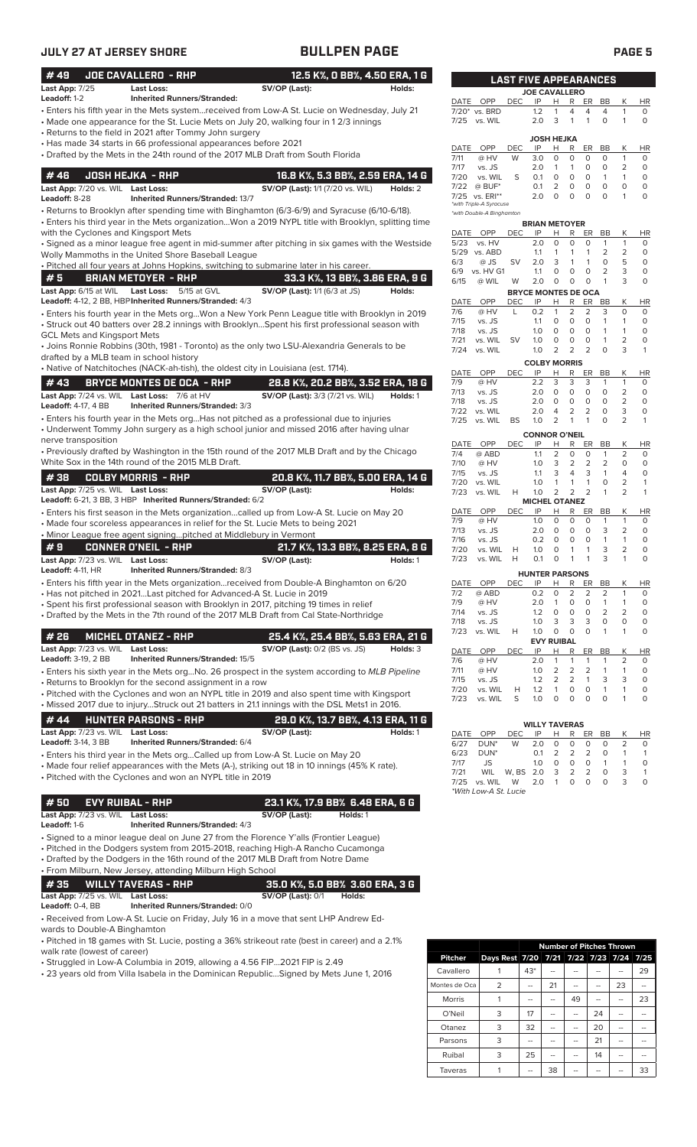| JULY 27 AT JERSEY SHORE                                         |                                                                                                                                                                                              | <b>BULLPEN PAGE</b>                     |          |              |                                                      |                              |            |                                                       |                                |                                | <b>PAGE 5</b>                |                             |
|-----------------------------------------------------------------|----------------------------------------------------------------------------------------------------------------------------------------------------------------------------------------------|-----------------------------------------|----------|--------------|------------------------------------------------------|------------------------------|------------|-------------------------------------------------------|--------------------------------|--------------------------------|------------------------------|-----------------------------|
| #49<br><b>JOE CAVALLERO - RHP</b>                               |                                                                                                                                                                                              | 12.5 K%, O BB%, 4.50 ERA, 1 G           |          |              |                                                      | <b>LAST FIVE APPEARANCES</b> |            |                                                       |                                |                                |                              |                             |
| Last App: 7/25<br>Leadoff: 1-2                                  | <b>Last Loss:</b><br><b>Inherited Runners/Stranded:</b>                                                                                                                                      | SV/OP (Last):                           | Holds:   |              |                                                      |                              |            | <b>JOE CAVALLERO</b>                                  |                                |                                |                              |                             |
|                                                                 | Enters his fifth year in the Mets system…received from Low-A St. Lucie on Wednesday, July 21 -                                                                                               |                                         |          |              | DATE OPP<br>7/20* vs. BRD                            | <b>DEC</b>                   | IP<br>1.2  | н<br>R<br>$\mathbf{1}$<br>4                           | ER<br>$\overline{4}$           | BB<br>4                        | Κ<br>1                       | <b>HR</b><br>$\circ$        |
|                                                                 | • Made one appearance for the St. Lucie Mets on July 20, walking four in 1 2/3 innings<br>• Returns to the field in 2021 after Tommy John surgery                                            |                                         |          | 7/25         | vs. WIL                                              |                              | 2.0        | 3<br>$\mathbf{1}$                                     | $\mathbf{1}$                   | $\circ$                        | 1                            | $\circ$                     |
|                                                                 | • Has made 34 starts in 66 professional appearances before 2021                                                                                                                              |                                         |          | DATE         | OPP                                                  | <b>DEC</b>                   | IP         | JOSH HEJKA<br>Н<br>R                                  | ER                             | BB                             | Κ                            | <b>HR</b>                   |
|                                                                 | • Drafted by the Mets in the 24th round of the 2017 MLB Draft from South Florida                                                                                                             |                                         |          | 7/11         | @ HV                                                 | W                            | 3.0        | 0<br>0                                                | 0                              | 0                              | $\mathbf{1}$                 | $\circ$                     |
| #46<br><b>JOSH HEJKA - RHP</b>                                  |                                                                                                                                                                                              | 16.8 K%, 5.3 BB%, 2.59 ERA, 14 G        |          | 7/17         | vs. JS                                               |                              | 2.0        | $\mathbf{1}$<br>$\mathbf{1}$                          | 0                              | 0                              | 2                            | $\circ$                     |
| Last App: 7/20 vs. WIL Last Loss:                               |                                                                                                                                                                                              | <b>SV/OP (Last):</b> 1/1 (7/20 vs. WIL) | Holds: 2 | 7/20<br>7/22 | vs. WIL<br>$@$ BUF*                                  | S                            | 0.1<br>0.1 | $\circ$<br>0<br>2<br>0                                | 0<br>$\circ$                   | $\mathbf{1}$<br>$\circ$        | $\mathbf{1}$<br>0            | $\circ$<br>$\circ$          |
| Leadoff: 8-28                                                   | Inherited Runners/Stranded: 13/7                                                                                                                                                             |                                         |          |              | 7/25 vs. ERI**                                       |                              | 2.0        | $\Omega$<br>$\circ$                                   | $\circ$                        | $\circ$                        | 1                            | $\circ$                     |
|                                                                 | · Returns to Brooklyn after spending time with Binghamton (6/3-6/9) and Syracuse (6/10-6/18).                                                                                                |                                         |          |              | *with Triple-A Syracuse<br>*with Double-A Binghamton |                              |            |                                                       |                                |                                |                              |                             |
|                                                                 | · Enters his third year in the Mets organizationWon a 2019 NYPL title with Brooklyn, splitting time                                                                                          |                                         |          |              |                                                      |                              |            | <b>BRIAN METOYER</b>                                  |                                |                                |                              |                             |
| with the Cyclones and Kingsport Mets                            |                                                                                                                                                                                              |                                         |          | DATE         | OPP                                                  | <b>DEC</b>                   | IP         | н<br>R                                                | ER                             | BB                             | Κ                            | HR                          |
|                                                                 | · Signed as a minor league free agent in mid-summer after pitching in six games with the Westside<br>Wolly Mammoths in the United Shore Baseball League                                      |                                         |          | 5/23         | vs. HV<br>5/29 vs. ABD                               |                              | 2.0<br>1.1 | 0<br>0<br>1<br>1                                      | 0<br>$\mathbf{1}$              | $\mathbf{1}$<br>2              | 1<br>$\overline{2}$          | 0<br>$\circ$                |
|                                                                 | . Pitched all four years at Johns Hopkins, switching to submarine later in his career.                                                                                                       |                                         |          | 6/3          | $@$ JS                                               | <b>SV</b>                    | 2.0        | 3<br>1                                                | $\mathbf{1}$                   | $\circ$                        | 5                            | $\circ$                     |
| #5<br><b>BRIAN METOYER - RHP</b>                                |                                                                                                                                                                                              | 33.3 K%, 13 BB%, 3.86 ERA, 9 G          |          | 6/9<br>6/15  | vs. HV G1<br>@ WIL                                   | W                            | 1.1<br>2.0 | $\circ$<br>$\circ$<br>O<br>0                          | $\mathbf 0$<br>$\circ$         | $\overline{2}$<br>$\mathbf{1}$ | 3<br>3                       | $\circ$<br>$\mathsf O$      |
| Last App: 6/15 at WIL                                           | <b>Last Loss:</b><br>5/15 at GVL                                                                                                                                                             | <b>SV/OP (Last):</b> 1/1 (6/3 at JS)    | Holds:   |              |                                                      |                              |            | <b>BRYCE MONTES DE OCA</b>                            |                                |                                |                              |                             |
|                                                                 | Leadoff: 4-12, 2 BB, HBP Inherited Runners/Stranded: 4/3                                                                                                                                     |                                         |          | DATE         | OPP                                                  | DEC                          | IP         | R<br>Н                                                | ER                             | BB                             | Κ                            | <b>HR</b>                   |
|                                                                 | · Enters his fourth year in the Mets orgWon a New York Penn League title with Brooklyn in 2019                                                                                               |                                         |          | 7/6          | @ HV                                                 | L                            | 0.2        | $\overline{2}$<br>$\mathbf{1}$                        | $\overline{2}$                 | 3                              | 0                            | $\circ$                     |
|                                                                 | · Struck out 40 batters over 28.2 innings with BrooklynSpent his first professional season with                                                                                              |                                         |          | 7/15<br>7/18 | vs. JS<br>vs. JS                                     |                              | 1.1<br>1.0 | $\mathbf 0$<br>0<br>$\mathbf 0$<br>0                  | 0<br>$\circ$                   | $\mathbf{1}$<br>$\mathbf{1}$   | $\mathbf{1}$<br>$\mathbf{1}$ | $\circ$<br>$\circ$          |
| GCL Mets and Kingsport Mets                                     |                                                                                                                                                                                              |                                         |          | 7/21         | vs. WIL                                              | <b>SV</b>                    | 1.0        | $\mathbf 0$<br>0                                      | $\circ$                        | $\mathbf{1}$                   | 2                            | $\circ$                     |
| drafted by a MLB team in school history                         | • Joins Ronnie Robbins (30th, 1981 - Toronto) as the only two LSU-Alexandria Generals to be                                                                                                  |                                         |          | 7/24         | vs. WIL                                              |                              | 1.0        | $\overline{2}$<br>2                                   | $\overline{2}$                 | $\mathbf 0$                    | 3                            | $\mathbf{1}$                |
|                                                                 | • Native of Natchitoches (NACK-ah-tish), the oldest city in Louisiana (est. 1714).                                                                                                           |                                         |          |              |                                                      |                              |            | <b>COLBY MORRIS</b>                                   |                                |                                |                              |                             |
| #43                                                             | <b>BRYCE MONTES DE OCA - RHP</b>                                                                                                                                                             | 28.8 K%, 20.2 BB%, 3.52 ERA, 18 G       |          | DATE<br>7/9  | OPP<br>@ HV                                          | <b>DEC</b>                   | IP<br>2.2  | н<br>R<br>3<br>3                                      | ER<br>3                        | BB<br>$\mathbf{1}$             | К<br>1                       | HR<br>$\circ$               |
| Last App: 7/24 vs. WIL Last Loss: 7/6 at HV                     |                                                                                                                                                                                              | <b>SV/OP (Last):</b> 3/3 (7/21 vs. WIL) | Holds: 1 | 7/13         | vs. JS                                               |                              | 2.0        | $\circ$<br>0                                          | $\circ$                        | $\circ$                        | 2                            | $\circ$                     |
| <b>Leadoff:</b> 4-17, 4 BB                                      | Inherited Runners/Stranded: 3/3                                                                                                                                                              |                                         |          | 7/18         | vs. JS                                               |                              | 2.0        | $\circ$<br>0                                          | $\circ$                        | $\circ$                        | $\overline{2}$               | $\circ$                     |
|                                                                 | $\bullet$ Enters his fourth year in the Mets orgHas not pitched as a professional due to injuries                                                                                            |                                         |          | 7/22<br>7/25 | vs. WIL<br>vs. WIL                                   | BS                           | 2.0<br>1.0 | $\overline{2}$<br>4<br>$\overline{2}$<br>$\mathbf{1}$ | $\overline{2}$<br>$\mathbf{1}$ | $\mathbf 0$<br>$\mathbf 0$     | 3<br>$\overline{2}$          | $\mathsf O$<br>$\mathbf{1}$ |
|                                                                 | • Underwent Tommy John surgery as a high school junior and missed 2016 after having ulnar                                                                                                    |                                         |          |              |                                                      |                              |            | <b>CONNOR O'NEIL</b>                                  |                                |                                |                              |                             |
| nerve transposition                                             |                                                                                                                                                                                              |                                         |          | DATE         | OPP                                                  | <b>DEC</b>                   | IP         | R<br>н                                                | ER                             | BB                             | Κ                            | <b>HR</b>                   |
|                                                                 | • Previously drafted by Washington in the 15th round of the 2017 MLB Draft and by the Chicago                                                                                                |                                         |          | 7/4          | @ ABD                                                |                              | 1.1        | 2<br>0                                                | $\circ$                        | $\mathbf{1}$                   | $\overline{2}$               | 0                           |
| White Sox in the 14th round of the 2015 MLB Draft.              |                                                                                                                                                                                              |                                         |          | 7/10<br>7/15 | @ HV<br>vs. JS                                       |                              | 1.0<br>1.1 | 3<br>2<br>3<br>4                                      | $\overline{2}$<br>3            | $\overline{2}$<br>$\mathbf{1}$ | 0<br>4                       | $\circ$<br>$\circ$          |
| #38<br><b>COLBY MORRIS - RHP</b>                                |                                                                                                                                                                                              | 20.8 K%, 11.7 BB%, 5.00 ERA, 14 G       |          | 7/20         | vs. WIL                                              |                              | 1.0        | $\mathbf{1}$<br>$\mathbf{1}$                          | $\mathbf{1}$                   | $\circ$                        | 2                            | $\mathbf{1}$                |
| Last App: 7/25 vs. WIL Last Loss:                               | Leadoff: 6-21, 3 BB, 3 HBP Inherited Runners/Stranded: 6/2                                                                                                                                   | SV/OP (Last):                           | Holds:   | 7/23         | vs. WIL                                              | H                            | 1.0        | 2<br>2                                                | $\overline{2}$                 | $\mathbf{1}$                   | 2                            | $\mathbf{1}$                |
|                                                                 | • Enters his first season in the Mets organizationcalled up from Low-A St. Lucie on May 20                                                                                                   |                                         |          | DATE         | OPP                                                  | <b>DEC</b>                   | IP         | <b>MICHEL OTANEZ</b><br>н<br>R                        | ER                             | <b>BB</b>                      | K                            | <b>HR</b>                   |
|                                                                 | • Made four scoreless appearances in relief for the St. Lucie Mets to being 2021                                                                                                             |                                         |          | 7/9          | @ HV                                                 |                              | 1.0        | 0<br>0                                                | 0                              | $\mathbf{1}$                   | $\mathbf{1}$                 | $\circ$                     |
|                                                                 | • Minor League free agent signingpitched at Middlebury in Vermont                                                                                                                            |                                         |          | 7/13         | vs. JS                                               |                              | 2.0        | 0<br>0                                                | $\circ$                        | 3                              | 2                            | $\circ$                     |
| #9<br><b>CONNER O'NEIL - RHP</b>                                |                                                                                                                                                                                              | 21.7 K%, 13.3 BB%, 8.25 ERA, 8 G        |          | 7/16<br>7/20 | vs. JS<br>vs. WIL                                    | H                            | 0.2<br>1.0 | $\circ$<br>0<br>$\circ$<br>$\mathbf{1}$               | $\circ$<br>$\mathbf{1}$        | $\mathbf{1}$<br>3              | $\mathbf{1}$<br>2            | $\circ$<br>$\circ$          |
| Last App: 7/23 vs. WIL Last Loss:                               |                                                                                                                                                                                              | SV/OP (Last):                           | Holds: 1 | 7/23         | vs. WIL                                              | H                            | 0.1        | $\overline{O}$                                        |                                |                                |                              | 0                           |
| <b>Leadoff:</b> 4-11, HR                                        | Inherited Runners/Stranded: 8/3                                                                                                                                                              |                                         |          |              |                                                      |                              |            | <b>HUNTER PARSONS</b>                                 |                                |                                |                              |                             |
|                                                                 | • Enters his fifth year in the Mets organizationreceived from Double-A Binghamton on 6/20                                                                                                    |                                         |          |              | DATE OPP                                             | <b>DEC</b>                   | IP         | R<br>H                                                | ER                             | BB                             | Κ                            | <b>HR</b>                   |
|                                                                 | • Has not pitched in 2021Last pitched for Advanced-A St. Lucie in 2019                                                                                                                       |                                         |          | 7/2<br>7/9   | @ ABD<br>@ HV                                        |                              | 0.2<br>2.0 | $\overline{2}$<br>0<br>0<br>$\mathbf{1}$              | $\overline{2}$<br>$\circ$      | $\overline{2}$<br>$\mathbf{1}$ | 1<br>1                       | 0<br>$\circ$                |
|                                                                 | Spent his first professional season with Brooklyn in 2017, pitching 19 times in relief<br>• Drafted by the Mets in the 7th round of the 2017 MLB Draft from Cal State-Northridge             |                                         |          | 7/14         | vs. JS                                               |                              | 1.2        | 0<br>0                                                | 0                              | $\overline{2}$                 | 2                            | $\circ$                     |
|                                                                 |                                                                                                                                                                                              |                                         |          | 7/18         | vs. JS                                               |                              | 1.0        | 3<br>3                                                | 3                              | 0                              | 0                            | $\circ$                     |
| #26<br><b>MICHEL OTANEZ - RHP</b>                               |                                                                                                                                                                                              | 25.4 K%, 25.4 BB%, 5.63 ERA, 21 G       |          | 7/23         | vs. WIL                                              | Н                            | 1.0        | $\circ$<br>0                                          | 0                              | 1                              | 1                            | $\circ$                     |
| Last App: 7/23 vs. WIL Last Loss:                               |                                                                                                                                                                                              | <b>SV/OP (Last): 0/2 (BS vs. JS)</b>    | Holds: 3 | DATE         | OPP                                                  | DEC                          | IP         | <b>EVY RUIBAL</b><br>H<br>R                           | ER                             | BB                             | Κ                            | <b>HR</b>                   |
| <b>Leadoff:</b> 3-19, 2 BB                                      | Inherited Runners/Stranded: 15/5                                                                                                                                                             |                                         |          | 7/6          | @ HV                                                 |                              | 2.0        | $\mathbf{1}$<br>$\mathbf{1}$                          | $\mathbf{1}$                   | 1                              | 2                            | $\circ$                     |
|                                                                 | Enters his sixth year in the Mets orgNo. 26 prospect in the system according to MLB Pipeline                                                                                                 |                                         |          | 7/11<br>7/15 | @ HV<br>vs. JS                                       |                              | 1.0<br>1.2 | 2<br>2<br>2<br>$\overline{2}$                         | 2<br>1                         | 1<br>3                         | 1<br>3                       | $\circ$<br>$\circ$          |
|                                                                 | • Returns to Brooklyn for the second assignment in a row                                                                                                                                     |                                         |          | 7/20         | vs. WIL                                              | Н                            | 1.2        | $\mathbf{1}$<br>0                                     | $\circ$                        | 1                              | 1                            | $\circ$                     |
|                                                                 | • Pitched with the Cyclones and won an NYPL title in 2019 and also spent time with Kingsport<br>• Missed 2017 due to injuryStruck out 21 batters in 21.1 innings with the DSL Mets1 in 2016. |                                         |          | 7/23         | vs. WIL                                              | S                            | 1.0        | $\mathbf 0$<br>0                                      | $\circ$                        | $\circ$                        | 1                            | $\circ$                     |
|                                                                 |                                                                                                                                                                                              |                                         |          |              |                                                      |                              |            |                                                       |                                |                                |                              |                             |
| #44                                                             | <b>HUNTER PARSONS - RHP</b>                                                                                                                                                                  | 29.0 K%, 13.7 BB%, 4.13 ERA, 11 G       |          |              |                                                      |                              |            | <b>WILLY TAVERAS</b>                                  |                                |                                |                              |                             |
| Last App: 7/23 vs. WIL Last Loss:<br><b>Leadoff:</b> 3-14, 3 BB | Inherited Runners/Stranded: 6/4                                                                                                                                                              | SV/OP (Last):                           | Holds: 1 | DATE<br>6/27 | OPP<br>DUN <sup>*</sup>                              | DEC<br>W                     | IP<br>2.0  | н<br>R<br>0<br>0                                      | ER<br>0                        | BB<br>0                        | Κ<br>2                       | HR<br>0                     |
|                                                                 | • Enters his third year in the Mets orgCalled up from Low-A St. Lucie on May 20                                                                                                              |                                         |          | 6/23         | DUN <sup>*</sup>                                     |                              | 0.1        | $\overline{2}$<br>$\overline{2}$                      | 2                              | $\circ$                        | $\mathbf{1}$                 | $\mathbf{1}$                |
|                                                                 | • Made four relief appearances with the Mets (A-), striking out 18 in 10 innings (45% K rate).                                                                                               |                                         |          | 7/17         | JS                                                   |                              | 1.0        | $\circ$<br>0                                          | $\mathsf{O}\xspace$            | $\mathbf{1}$<br>$\circ$        | 1                            | $\circ$                     |
|                                                                 | Pitched with the Cyclones and won an NYPL title in 2019 •                                                                                                                                    |                                         |          | 7/21<br>7/25 | WIL<br>vs. WIL                                       | W, BS 2.0<br>W               | 2.0        | 2<br>3<br>0<br>$\mathbf{1}$                           | 2<br>0                         | $\circ$                        | 3<br>3                       | $\mathbf{1}$<br>$\circ$     |
|                                                                 |                                                                                                                                                                                              |                                         |          |              | *With Low-A St. Lucie                                |                              |            |                                                       |                                |                                |                              |                             |
| #50<br><b>EVY RUIBAL - RHP</b>                                  |                                                                                                                                                                                              | 23.1 K%, 17.9 BB% 6.48 ERA, 6 G         |          |              |                                                      |                              |            |                                                       |                                |                                |                              |                             |
| Last App: 7/23 vs. WIL Last Loss:                               |                                                                                                                                                                                              | SV/OP (Last):<br>Holds: 1               |          |              |                                                      |                              |            |                                                       |                                |                                |                              |                             |
| Leadoff: 1-6                                                    | Inherited Runners/Stranded: 4/3                                                                                                                                                              |                                         |          |              |                                                      |                              |            |                                                       |                                |                                |                              |                             |
|                                                                 | • Signed to a minor league deal on June 27 from the Florence Y'alls (Frontier League)<br>• Pitched in the Dodgers system from 2015-2018, reaching High-A Rancho Cucamonga                    |                                         |          |              |                                                      |                              |            |                                                       |                                |                                |                              |                             |
|                                                                 | • Drafted by the Dodgers in the 16th round of the 2017 MLB Draft from Notre Dame                                                                                                             |                                         |          |              |                                                      |                              |            |                                                       |                                |                                |                              |                             |
|                                                                 | • From Milburn, New Jersey, attending Milburn High School                                                                                                                                    |                                         |          |              |                                                      |                              |            |                                                       |                                |                                |                              |                             |
| #35<br><b>WILLY TAVERAS - RHP</b>                               |                                                                                                                                                                                              | 35.0 K%, 5.0 BB% 3.60 ERA, 3 G          |          |              |                                                      |                              |            |                                                       |                                |                                |                              |                             |
| Last App: 7/25 vs. WIL Last Loss:                               |                                                                                                                                                                                              | <b>SV/OP (Last): 0/1</b><br>Holds:      |          |              |                                                      |                              |            |                                                       |                                |                                |                              |                             |
| Leadoff: 0-4, BB                                                | Inherited Runners/Stranded: 0/0                                                                                                                                                              |                                         |          |              |                                                      |                              |            |                                                       |                                |                                |                              |                             |
|                                                                 | • Received from Low-A St. Lucie on Friday, July 16 in a move that sent LHP Andrew Ed-                                                                                                        |                                         |          |              |                                                      |                              |            |                                                       |                                |                                |                              |                             |

wards to Double-A Binghamton

• Pitched in 18 games with St. Lucie, posting a 36% strikeout rate (best in career) and a 2.1% walk rate (lowest of career)

• Struggled in Low-A Columbia in 2019, allowing a 4.56 FIP...2021 FIP is 2.49

• 23 years old from Villa Isabela in the Dominican Republic...Signed by Mets June 1, 2016

|                |                                         | <b>Number of Pitches Thrown</b> |    |    |    |    |    |  |
|----------------|-----------------------------------------|---------------------------------|----|----|----|----|----|--|
| <b>Pitcher</b> | Days Rest 7/20 7/21 7/22 7/23 7/24 7/25 |                                 |    |    |    |    |    |  |
| Cavallero      |                                         | $43*$                           |    |    |    |    | 29 |  |
| Montes de Oca  | 2                                       |                                 | 21 |    |    | 23 |    |  |
| Morris         |                                         |                                 |    | 49 |    |    | 23 |  |
| O'Neil         | 3                                       | 17                              |    |    | 24 |    |    |  |
| Otanez         | 3                                       | 32                              | -- |    | 20 |    |    |  |
| Parsons        | 3                                       |                                 |    |    | 21 |    |    |  |
| Ruibal         | 3                                       | 25                              |    |    | 14 |    |    |  |
| Taveras        |                                         |                                 | 38 |    |    |    | 33 |  |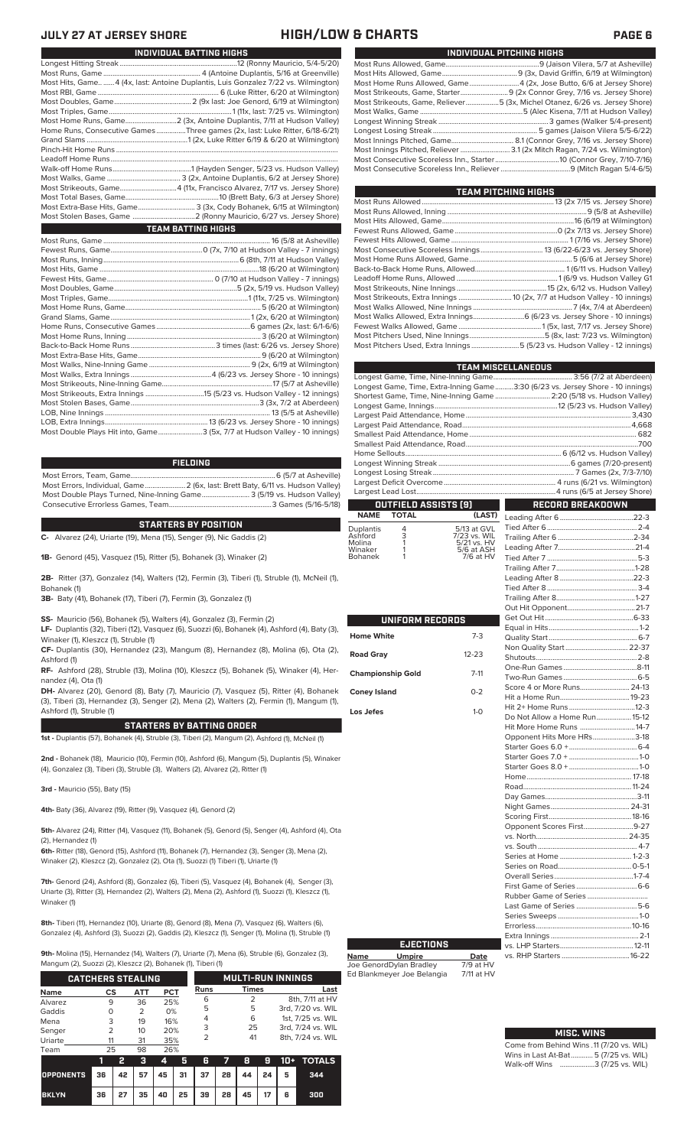### **JULY 27 AT JERSEY SHORE HIGH/LOW & CHARTS PAGE 6**

|  | INDIVIDUAL BATTING HIGHS                                                           |
|--|------------------------------------------------------------------------------------|
|  |                                                                                    |
|  |                                                                                    |
|  | Most Hits, Game 4 (4x, last: Antoine Duplantis, Luis Gonzalez 7/22 vs. Wilmington) |
|  |                                                                                    |
|  |                                                                                    |
|  |                                                                                    |
|  |                                                                                    |
|  | Home Runs, Consecutive Games Three games (2x, last: Luke Ritter, 6/18-6/21)        |
|  |                                                                                    |
|  |                                                                                    |
|  |                                                                                    |
|  |                                                                                    |
|  |                                                                                    |
|  | Most Strikeouts, Game4 (11x, Francisco Alvarez, 7/17 vs. Jersey Shore)             |
|  |                                                                                    |
|  | Most Extra-Base Hits, Game 3 (3x, Cody Bohanek, 6/15 at Wilmington)                |
|  |                                                                                    |
|  | <b>TEAM BATTING HIGHS</b>                                                          |
|  |                                                                                    |
|  |                                                                                    |
|  |                                                                                    |
|  |                                                                                    |
|  |                                                                                    |
|  |                                                                                    |
|  |                                                                                    |
|  |                                                                                    |
|  |                                                                                    |
|  |                                                                                    |
|  |                                                                                    |
|  |                                                                                    |
|  |                                                                                    |

| Most Double Plays Hit into, Game3 (5x, 7/7 at Hudson Valley - 10 innings) |  |
|---------------------------------------------------------------------------|--|

### **FIELDING**

Most Errors, Team, Game...............................................................................6 (5/7 at Asheville) Most Errors, Individual, Game......................2 (6x, last: Brett Baty, 6/11 vs. Hudson Valley) Most Double Plays Turned, Nine-Inning Game.......................... 3 (5/19 vs. Hudson Valley) Consecutive Errorless Games, Team...

### **STARTERS BY POSITION**

**C-** Alvarez (24), Uriarte (19), Mena (15), Senger (9), Nic Gaddis (2)

**1B-** Genord (45), Vasquez (15), Ritter (5), Bohanek (3), Winaker (2)

**2B-** Ritter (37), Gonzalez (14), Walters (12), Fermin (3), Tiberi (1), Struble (1), McNeil (1), Bohanek (1)

**3B-** Baty (41), Bohanek (17), Tiberi (7), Fermin (3), Gonzalez (1)

**SS-** Mauricio (56), Bohanek (5), Walters (4), Gonzalez (3), Fermin (2)

**LF-** Duplantis (32), Tiberi (12), Vasquez (6), Suozzi (6), Bohanek (4), Ashford (4), Baty (3), Winaker (1), Kleszcz (1), Struble (1)

**CF-** Duplantis (30), Hernandez (23), Mangum (8), Hernandez (8), Molina (6), Ota (2), Ashford (1)

**RF-** Ashford (28), Struble (13), Molina (10), Kleszcz (5), Bohanek (5), Winaker (4), Hernandez (4), Ota (1)

**DH-** Alvarez (20), Genord (8), Baty (7), Mauricio (7), Vasquez (5), Ritter (4), Bohanek (3), Tiberi (3), Hernandez (3), Senger (2), Mena (2), Walters (2), Fermin (1), Mangum (1), Ashford (1), Struble (1)

### **STARTERS BY BATTING ORDER**

**1st -** Duplantis (57), Bohanek (4), Struble (3), Tiberi (2), Mangum (2), Ashford (1), McNeil (1)

**2nd -** Bohanek (18), Mauricio (10), Fermin (10), Ashford (6), Mangum (5), Duplantis (5), Winaker (4), Gonzalez (3), Tiberi (3), Struble (3), Walters (2), Alvarez (2), Ritter (1)

**3rd -** Mauricio (55), Baty (15)

**4th-** Baty (36), Alvarez (19), Ritter (9), Vasquez (4), Genord (2)

**5th-** Alvarez (24), Ritter (14), Vasquez (11), Bohanek (5), Genord (5), Senger (4), Ashford (4), Ota (2), Hernandez (1)

**6th-** Ritter (18), Genord (15), Ashford (11), Bohanek (7), Hernandez (3), Senger (3), Mena (2), Winaker (2), Kleszcz (2), Gonzalez (2), Ota (1), Suozzi (1) Tiberi (1), Uriarte (1)

**7th-** Genord (24), Ashford (8), Gonzalez (6), Tiberi (5), Vasquez (4), Bohanek (4), Senger (3), Uriarte (3), Ritter (3), Hernandez (2), Walters (2), Mena (2), Ashford (1), Suozzi (1), Kleszcz (1), Winaker (1)

**8th-** Tiberi (11), Hernandez (10), Uriarte (8), Genord (8), Mena (7), Vasquez (6), Walters (6), Gonzalez (4), Ashford (3), Suozzi (2), Gaddis (2), Kleszcz (1), Senger (1), Molina (1), Struble (1)

**9th-** Molina (15), Hernandez (14), Walters (7), Uriarte (7), Mena (6), Struble (6), Gonzalez (3),

| Mangum (2), Suozzi (2), Kleszcz (2), Bohanek (1), Tiberi (1) |                |    |                |            |                          |             |    |              |    |                   |                 |  |
|--------------------------------------------------------------|----------------|----|----------------|------------|--------------------------|-------------|----|--------------|----|-------------------|-----------------|--|
| <b>CATCHERS STEALING</b>                                     |                |    |                |            | <b>MULTI-RUN INNINGS</b> |             |    |              |    |                   |                 |  |
| <b>Name</b>                                                  | CS             |    | ATT            | <b>PCT</b> |                          | <b>Runs</b> |    | <b>Times</b> |    |                   | Last            |  |
| Alvarez                                                      | 9              |    | 36             | 25%        |                          | 6           |    | 2            |    |                   | 8th, 7/11 at HV |  |
| Gaddis                                                       | O              |    | $\overline{2}$ | 0%         |                          | 5           |    | 5            |    | 3rd, 7/20 vs. WIL |                 |  |
| Mena                                                         | 3              |    | 19             | 16%        |                          | 4           |    | 6            |    | 1st. 7/25 vs. WIL |                 |  |
| Senger                                                       | $\overline{2}$ |    | 10             | 20%        |                          | 3           |    | 25           |    | 3rd, 7/24 vs. WIL |                 |  |
| Uriarte                                                      | 11             |    | 31             | 35%        |                          | 2           |    | 41           |    | 8th, 7/24 vs. WIL |                 |  |
| Team                                                         | 25             |    | 98             | 26%        |                          |             |    |              |    |                   |                 |  |
|                                                              | 11             | 2  | з              | 4          | 5                        | 6           | 7  | 8            | 9  | 10+               | <b>TOTALS</b>   |  |
| <b>OPPONENTS</b>                                             | 36             | 42 | 57             | 45         | 31                       | 37          | 28 | 44           | 24 | 5                 | 344             |  |

**BKLYN 36 27 35 40 25 39 28 45 17 6 300**

Г

| INDIVIDUAL PITCHING HIGHS                                                   |
|-----------------------------------------------------------------------------|
|                                                                             |
|                                                                             |
|                                                                             |
|                                                                             |
| Most Strikeouts, Game, Reliever5 (3x, Michel Otanez, 6/26 vs. Jersey Shore) |
|                                                                             |
|                                                                             |
|                                                                             |
|                                                                             |
|                                                                             |
|                                                                             |
|                                                                             |

| <b>TEAM PITCHING HIGHS</b>                                                 |  |
|----------------------------------------------------------------------------|--|
|                                                                            |  |
|                                                                            |  |
|                                                                            |  |
|                                                                            |  |
|                                                                            |  |
|                                                                            |  |
|                                                                            |  |
|                                                                            |  |
|                                                                            |  |
|                                                                            |  |
| Most Strikeouts, Extra Innings  10 (2x, 7/7 at Hudson Valley - 10 innings) |  |
|                                                                            |  |
| Most Walks Allowed, Extra Innings 6 (6/23 vs. Jersey Shore - 10 innings)   |  |
|                                                                            |  |
|                                                                            |  |
| Most Pitchers Used, Extra Innings5 (5/23 vs. Hudson Valley - 12 innings)   |  |
|                                                                            |  |

|                   |                             |                           | <b>TEAM MISCELLANEOUS</b>                                                      |
|-------------------|-----------------------------|---------------------------|--------------------------------------------------------------------------------|
|                   |                             |                           |                                                                                |
|                   |                             |                           | Longest Game, Time, Extra-Inning Game3:30 (6/23 vs. Jersey Shore - 10 innings) |
|                   |                             |                           | Shortest Game, Time, Nine-Inning Game  2:20 (5/18 vs. Hudson Valley)           |
|                   |                             |                           |                                                                                |
|                   |                             |                           |                                                                                |
|                   |                             |                           |                                                                                |
|                   |                             |                           |                                                                                |
|                   |                             |                           |                                                                                |
|                   |                             |                           |                                                                                |
|                   |                             |                           |                                                                                |
|                   |                             |                           |                                                                                |
|                   |                             |                           |                                                                                |
|                   |                             |                           |                                                                                |
|                   | <b>OUTFIELD ASSISTS [9]</b> |                           | RECORD BREAKDOWN                                                               |
| <b>NAME</b>       | <b>TOTAL</b>                | (LAST)                    |                                                                                |
| <b>Duplantis</b>  |                             | 5/13 at GVL               |                                                                                |
| Ashford           | $rac{4}{3}$                 | 7/23 vs. WIL              |                                                                                |
| Molina<br>Winaker |                             | 5/21 vs. HV<br>5/6 at ASH |                                                                                |
| <b>Bohanek</b>    |                             | $7/6$ at $HV$             | 5.3<br>Tind After 7                                                            |

|                          |           | C                |
|--------------------------|-----------|------------------|
| UNIFORM RECORDS          |           | G                |
| <b>Home White</b>        | $7-3$     | E<br>G           |
| <b>Road Gray</b>         | $12 - 23$ | N<br>S           |
| <b>Championship Gold</b> | $7 - 11$  | C<br>T           |
| <b>Coney Island</b>      | $0 - 2$   | S<br>Н           |
| Los Jefes                | $1-0$     | Н<br>D<br>Н      |
|                          |           | C<br>S<br>S<br>S |
|                          |           | Н<br>R           |
|                          |           | D<br>N<br>S      |
|                          |           | C<br>V.          |
|                          |           | V.<br>S          |
|                          |           | S<br>C           |
|                          |           | F<br>R           |
|                          |           | Lá               |
|                          |           | S<br>E<br>-      |

**Name Umpire Date** Joe GenordDylan Bradley 7/9 at HV Ed Blankmeyer Joe Belangia 7/11 at HV

**EJECTIONS**

### Tied After 7 .................................................5-3 Trailing After 7...........................................1-28 Leading After 8 ........................................22-3 Tied After 8................................................. 3-4 Trailing After 8...........................................1-27 ut Hit Opponent. Get Out Hit................................................6-33 Equal in Hits.................................................1-2 ...<br>uality Start . Non Quality Start.................................. 22-37 hutouts. One-Run Games ........................................8-11 Two-Run Games ........................................6-5 eore 4 or More Runs. Hit a Home Run......................................19-23 it 2+ Home Runs. o Not Allow a Home Run.....................15-12<br>lit More Home Runs ................................14-7 Hit More Home Runs ..............................14-7 pponent Hits More HRs. Starter Goes 6.0 +.....................................6-4 Starter Goes 7.0 + ......................................1-0 Starter Goes 8.0 + ......................................1-0 Home......................................................... 17-18 Road...........................................................11-24 Day Games..................................................3-11 Night Games........................................... 24-31 Scoring First.............................................18-16 Opponent Scores First...........................9-27 . .<br>s. North.. vs. South ...................................................... 4-7 eries at Home . Series on Road........................................0-5-1 Overall Series...........................................1-7-4 irst Game of Series Rubber Game of Series ................................. Last Game of Series .................................5-6 Series Sweeps ............................................1-0 Errorless....................................................10-16 Extra Innings . vs. LHP Starters........................................12-11 vs. E. ...<br>vs. RHP Starters ...

### Come from Behind Wins .11 (7/20 vs. WIL)<br>Wins in Last At-Bat............ 5 (7/25 vs. WIL) Wins in Last At-Bat....... Walk-off Wins ...................3 (7/25 vs. WIL) **MISC. WINS**

| Most Hits Allowed. Game        |
|--------------------------------|
| Most Home Runs Allowed, Game.  |
| Most Strikeouts, Game, Starter |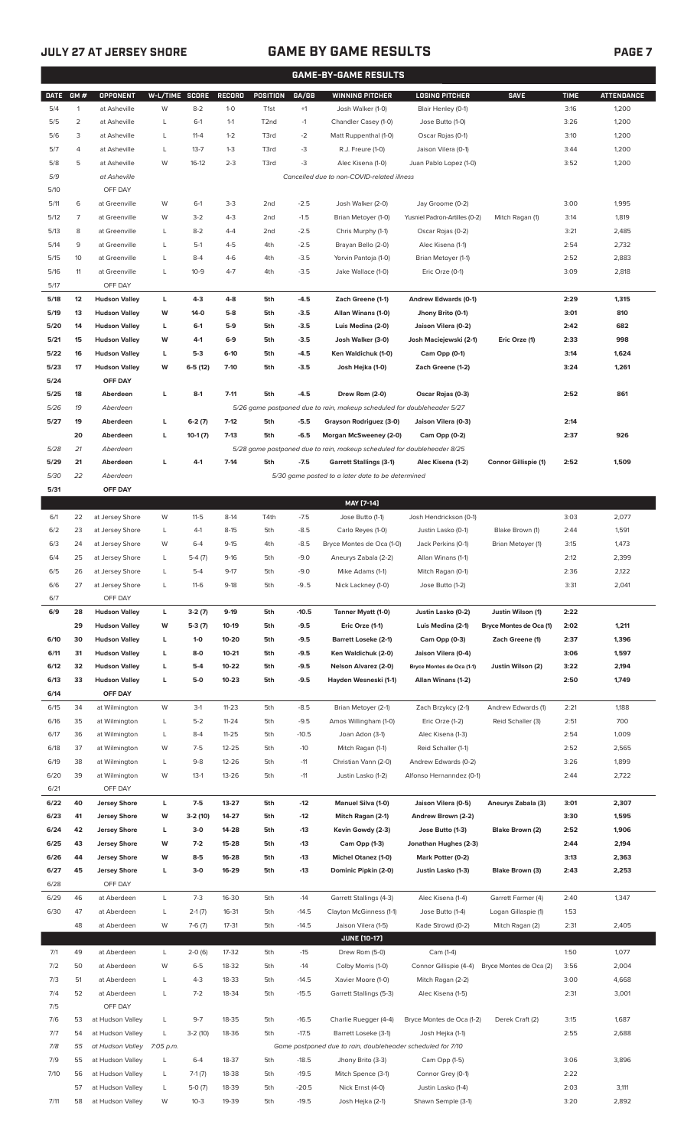## **JULY 27 AT JERSEY SHORE GAME BY GAME RESULTS**

|--|--|--|

|             |                |                                      |                |                    |                |                   |                    | <b>GAME-BY-GAME RESULTS</b>                                             |                                          |                         |              |                   |
|-------------|----------------|--------------------------------------|----------------|--------------------|----------------|-------------------|--------------------|-------------------------------------------------------------------------|------------------------------------------|-------------------------|--------------|-------------------|
| <b>DATE</b> | GM#            | <b>OPPONENT</b>                      | W-L/TIME SCORE |                    | <b>RECORD</b>  | POSITION          | GA/GB              | <b>WINNING PITCHER</b>                                                  | <b>LOSING PITCHER</b>                    | <b>SAVE</b>             | <b>TIME</b>  | <b>ATTENDANCE</b> |
| 5/4         | $\mathbf{1}$   | at Asheville                         | W              | $8 - 2$            | $1-0$          | T <sub>1st</sub>  | $+1$               | Josh Walker (1-0)                                                       | Blair Henley (0-1)                       |                         | 3:16         | 1,200             |
| 5/5         | $\overline{2}$ | at Asheville                         | L              | $6-1$              | $1 - 1$        | T <sub>2</sub> nd | $-1$               | Chandler Casey (1-0)                                                    | Jose Butto (1-0)                         |                         | 3:26         | 1,200             |
| 5/6         | 3              | at Asheville                         | L              | $11 - 4$           | $1 - 2$        | T3rd              | $-2$               | Matt Ruppenthal (1-0)                                                   | Oscar Rojas (0-1)                        |                         | 3:10         | 1,200             |
| 5/7         | 4              | at Asheville                         | L              | $13 - 7$           | $1 - 3$        | T3rd              | $-3$               | R.J. Freure (1-0)                                                       | Jaison Vilera (0-1)                      |                         | 3:44         | 1,200             |
| 5/8         | 5              | at Asheville                         | W              | $16-12$            | $2 - 3$        | T3rd              | $-3$               | Alec Kisena (1-0)                                                       | Juan Pablo Lopez (1-0)                   |                         | 3:52         | 1,200             |
| 5/9         |                | at Asheville                         |                |                    |                |                   |                    | Cancelled due to non-COVID-related illness                              |                                          |                         |              |                   |
| 5/10        |                | OFF DAY                              |                |                    |                |                   |                    |                                                                         |                                          |                         |              |                   |
| 5/11        | 6              | at Greenville                        | W              | $6-1$              | $3 - 3$        | 2nd               | $-2.5$             | Josh Walker (2-0)                                                       | Jay Groome (0-2)                         |                         | 3:00         | 1,995             |
| 5/12        | $\overline{7}$ | at Greenville                        | W              | $3-2$              | $4 - 3$        | 2nd               | $-1.5$             | Brian Metoyer (1-0)                                                     | Yusniel Padron-Artilles (0-2)            | Mitch Ragan (1)         | 3:14         | 1,819             |
| 5/13        | 8              | at Greenville                        | L              | $8 - 2$            | $4 - 4$        | 2 <sub>nd</sub>   | $-2.5$             | Chris Murphy (1-1)                                                      | Oscar Rojas (0-2)                        |                         | 3:21         | 2,485             |
| 5/14        | 9              | at Greenville                        | L              | $5-1$              | $4 - 5$        | 4th               | $-2.5$             | Brayan Bello (2-0)                                                      | Alec Kisena (1-1)                        |                         | 2:54         | 2,732             |
| 5/15        | 10             | at Greenville                        | Г              | $8 - 4$            | $4-6$          | 4th               | $-3.5$             | Yorvin Pantoja (1-0)                                                    | Brian Metoyer (1-1)                      |                         | 2:52         | 2,883             |
| 5/16        | 11             |                                      | L              | $10-9$             | $4 - 7$        | 4th               | $-3.5$             |                                                                         |                                          |                         | 3:09         | 2,818             |
| 5/17        |                | at Greenville                        |                |                    |                |                   |                    | Jake Wallace (1-0)                                                      | Eric Orze (0-1)                          |                         |              |                   |
|             |                | OFF DAY                              |                |                    |                |                   |                    |                                                                         |                                          |                         |              |                   |
| 5/18        | 12             | <b>Hudson Valley</b>                 | L              | $4 - 3$            | 4-8            | 5th               | $-4.5$             | Zach Greene (1-1)                                                       | Andrew Edwards (0-1)                     |                         | 2:29         | 1,315             |
| 5/19        | 13             | <b>Hudson Valley</b>                 | W              | 14-0               | $5-8$          | 5th               | $-3.5$             | Allan Winans (1-0)                                                      | Jhony Brito (0-1)                        |                         | 3:01         | 810               |
| 5/20        | 14             | <b>Hudson Valley</b>                 | L              | $6-1$              | $5-9$          | 5th               | $-3.5$             | Luis Medina (2-0)                                                       | Jaison Vilera (0-2)                      |                         | 2:42         | 682               |
| 5/21        | 15             | <b>Hudson Valley</b>                 | W              | $4-1$              | $6-9$          | 5th               | $-3.5$             | Josh Walker (3-0)                                                       | Josh Maciejewski (2-1)                   | Eric Orze (1)           | 2:33         | 998               |
| 5/22        | 16             | <b>Hudson Valley</b>                 | L              | $5-3$              | $6-10$         | 5th               | $-4.5$             | Ken Waldichuk (1-0)                                                     | Cam Opp (0-1)                            |                         | 3:14         | 1,624             |
| 5/23        | 17             | <b>Hudson Valley</b>                 | W              | $6-5(12)$          | $7 - 10$       | 5th               | $-3.5$             | Josh Hejka (1-0)                                                        | Zach Greene (1-2)                        |                         | 3:24         | 1,261             |
| 5/24        |                | OFF DAY                              |                |                    |                |                   |                    |                                                                         |                                          |                         |              |                   |
| 5/25        | 18             | Aberdeen                             | L              | $8-1$              | $7 - 11$       | 5th               | $-4.5$             | Drew Rom (2-0)                                                          | Oscar Rojas (0-3)                        |                         | 2:52         | 861               |
| 5/26        | 19             | Aberdeen                             |                |                    |                |                   |                    | 5/26 game postponed due to rain, makeup scheduled for doubleheader 5/27 |                                          |                         |              |                   |
| 5/27        | 19             | Aberdeen                             | г              | $6-2(7)$           | $7-12$         | 5th               | $-5.5$             | Grayson Rodriguez (3-0)                                                 | Jaison Vilera (0-3)                      |                         | 2:14         |                   |
|             | 20             | Aberdeen                             | г              | $10-1(7)$          | $7-13$         | 5th               | $-6.5$             | Morgan McSweeney (2-0)                                                  | Cam Opp (0-2)                            |                         | 2:37         | 926               |
| 5/28        | 21             | Aberdeen                             |                |                    |                |                   |                    | 5/28 game postponed due to rain, makeup scheduled for doubleheader 8/25 |                                          |                         |              |                   |
| 5/29        | 21             | Aberdeen                             | г              | $4-1$              | $7-14$         | 5th               | $-7.5$             | <b>Garrett Stallings (3-1)</b>                                          | Alec Kisena (1-2)                        | Connor Gillispie (1)    | 2:52         | 1,509             |
| 5/30        | 22             | Aberdeen                             |                |                    |                |                   |                    | 5/30 game posted to a later date to be determined                       |                                          |                         |              |                   |
| 5/31        |                | OFF DAY                              |                |                    |                |                   |                    |                                                                         |                                          |                         |              |                   |
|             |                |                                      |                |                    |                |                   |                    | MAY [7-14]                                                              |                                          |                         |              |                   |
| 6/1         | 22             | at Jersey Shore                      | W              | $11-5$             | $8-14$         | T4th              | $-7.5$             | Jose Butto (1-1)                                                        | Josh Hendrickson (0-1)                   |                         | 3:03         | 2,077             |
| 6/2         | 23             | at Jersey Shore                      | L              | $4-1$              | $8-15$         | 5th               | $-8.5$             | Carlo Reyes (1-0)                                                       | Justin Lasko (0-1)                       | Blake Brown (1)         | 2:44         | 1,591             |
| 6/3         | 24             | at Jersey Shore                      | W              | $6 - 4$            | $9 - 15$       | 4th               | $-8.5$             | Bryce Montes de Oca (1-0)                                               | Jack Perkins (0-1)                       | Brian Metoyer (1)       | 3:15         | 1,473             |
| 6/4         | 25             | at Jersey Shore                      | L              | $5-4(7)$           | $9-16$         | 5th               | $-9.0$             | Aneurys Zabala (2-2)                                                    | Allan Winans (1-1)                       |                         | 2:12         | 2,399             |
| 6/5         | 26             | at Jersey Shore                      | L              | $5 - 4$            | $9 - 17$       | 5th               | $-9.0$             | Mike Adams (1-1)                                                        | Mitch Ragan (0-1)                        |                         | 2:36         | 2,122             |
| 6/6         | 27             | at Jersey Shore                      | L              | $11-6$             | $9-18$         | 5th               | $-9.5$             | Nick Lackney (1-0)                                                      | Jose Butto (1-2)                         |                         | 3:31         | 2,041             |
| 6/7         |                | OFF DAY                              |                |                    |                |                   |                    |                                                                         |                                          |                         |              |                   |
| 6/9         | 28             | <b>Hudson Valley</b>                 | L              | $3-2(7)$           | $9-19$         | 5th               | $-10.5$            | Tanner Myatt (1-0)                                                      | Justin Lasko (0-2)                       | Justin Wilson (1)       | 2:22         |                   |
|             | 29             | <b>Hudson Valley</b>                 | W              | $5-3(7)$           | 10-19          | 5th               | $-9.5$             | Eric Orze (1-1)                                                         | Luis Medina (2-1)                        | Bryce Montes de Oca (1) | 2:02         | 1,211             |
| 6/10        | 30             | <b>Hudson Valley</b>                 | L              | $1-0$              | 10-20          | 5th               | $-9.5$             | <b>Barrett Loseke (2-1)</b>                                             | Cam Opp (0-3)                            | Zach Greene (1)         | 2:37         | 1,396             |
| 6/11        | 31             | <b>Hudson Valley</b>                 | г              | $8-0$              | $10 - 21$      | 5th               | $-9.5$             | Ken Waldichuk (2-0)                                                     | Jaison Vilera (0-4)                      |                         | 3:06         | 1,597             |
| 6/12        | 32             | <b>Hudson Valley</b>                 | г              | $5 - 4$            | 10-22          | 5th               | $-9.5$             | Nelson Alvarez (2-0)                                                    | Bryce Montes de Oca (1-1)                | Justin Wilson (2)       | 3:22         | 2,194             |
| 6/13        | 33             | <b>Hudson Valley</b>                 | г              | $5-0$              | 10-23          | 5th               | $-9.5$             | Hayden Wesneski (1-1)                                                   | Allan Winans (1-2)                       |                         | 2:50         | 1,749             |
| 6/14        |                | OFF DAY                              |                |                    |                |                   |                    |                                                                         |                                          |                         |              |                   |
| 6/15        | 34             | at Wilmington                        | W              | $3-1$              | $11 - 23$      | 5th               | -8.5               | Brian Metoyer (2-1)                                                     | Zach Brzykcy (2-1)                       | Andrew Edwards (1)      | 2:21         | 1,188             |
| 6/16        | 35             | at Wilmington                        | L              | $5 - 2$            | $11 - 24$      | 5th               | $-9.5$             | Amos Willingham (1-0)                                                   | Eric Orze (1-2)                          | Reid Schaller (3)       | 2:51         | 700               |
| 6/17        | 36             | at Wilmington                        | L              | $8 - 4$            | $11 - 25$      | 5th               | $-10.5$            | Joan Adon (3-1)                                                         | Alec Kisena (1-3)                        |                         | 2:54         | 1,009             |
|             | 37             | at Wilmington                        | W              | $7 - 5$            | $12 - 25$      | 5th               | $-10$              |                                                                         | Reid Schaller (1-1)                      |                         | 2:52         | 2,565             |
| 6/18        |                |                                      |                |                    |                |                   |                    | Mitch Ragan (1-1)                                                       |                                          |                         |              |                   |
| 6/19        | 38             | at Wilmington                        | L              | $9 - 8$            | 12-26          | 5th               | $-11$              | Christian Vann (2-0)                                                    | Andrew Edwards (0-2)                     |                         | 3:26         | 1,899             |
| 6/20        | 39             | at Wilmington                        | W              | $13-1$             | 13-26          | 5th               | $-11$              | Justin Lasko (1-2)                                                      | Alfonso Hernanndez (0-1)                 |                         | 2:44         | 2,722             |
| 6/21        |                | OFF DAY                              |                |                    |                |                   |                    |                                                                         |                                          |                         |              |                   |
| 6/22        | 40             | <b>Jersey Shore</b>                  | L              | $7-5$              | 13-27          | 5th               | $-12$              | <b>Manuel Silva (1-0)</b>                                               | Jaison Vilera (0-5)                      | Aneurys Zabala (3)      | 3:01         | 2,307             |
| 6/23        | 41             | <b>Jersey Shore</b>                  | W              | 3-2 (10)           | 14-27          | 5th               | $-12$              | Mitch Ragan (2-1)                                                       | Andrew Brown (2-2)                       |                         | 3:30         | 1,595             |
| 6/24        | 42             | <b>Jersey Shore</b>                  | L              | 3-0                | 14-28          | 5th               | $-13$              | Kevin Gowdy (2-3)                                                       | Jose Butto (1-3)                         | Blake Brown (2)         | 2:52         | 1,906             |
| 6/25        | 43             | <b>Jersey Shore</b>                  | W              | $7-2$              | 15-28          | 5th               | $-13$              | Cam Opp (1-3)                                                           | Jonathan Hughes (2-3)                    |                         | 2:44         | 2,194             |
| 6/26        | 44             | <b>Jersey Shore</b>                  | W              | $8 - 5$            | 16-28          | 5th               | $-13$              | <b>Michel Otanez (1-0)</b>                                              | Mark Potter (0-2)                        |                         | 3:13         | 2,363             |
| 6/27        | 45             | <b>Jersey Shore</b>                  | L              | $3-0$              | 16-29          | 5th               | $-13$              | Dominic Pipkin (2-0)                                                    | Justin Lasko (1-3)                       | Blake Brown (3)         | 2:43         | 2,253             |
| 6/28        |                | OFF DAY                              |                |                    |                |                   |                    |                                                                         |                                          |                         |              |                   |
| 6/29        | 46             | at Aberdeen                          | L              | $7-3$              | 16-30          | 5th               | $-14$              | Garrett Stallings (4-3)                                                 | Alec Kisena (1-4)                        | Garrett Farmer (4)      | 2:40         | 1,347             |
| 6/30        |                |                                      |                |                    |                |                   |                    |                                                                         |                                          |                         |              |                   |
|             | 47             | at Aberdeen                          | L              | $2-1(7)$           | 16-31          | 5th               | $-14.5$            | Clayton McGinness (1-1)                                                 | Jose Butto (1-4)                         | Logan Gillaspie (1)     | 1:53         |                   |
|             | 48             | at Aberdeen                          | W              | $7-6(7)$           | 17-31          | 5th               | $-14.5$            | Jaison Vilera (1-5)                                                     | Kade Strowd (0-2)                        | Mitch Ragan (2)         | 2:31         | 2,405             |
|             |                |                                      |                |                    |                |                   |                    | <b>JUNE (10-17)</b>                                                     |                                          |                         |              |                   |
| 7/1         | 49             | at Aberdeen                          | L              | $2-0(6)$           | 17-32          | 5th               | $-15$              | Drew Rom (5-0)                                                          | Cam (1-4)                                |                         | 1:50         | 1,077             |
| 7/2         | 50             | at Aberdeen                          | W              | $6 - 5$            | 18-32          | 5th               | $-14$              | Colby Morris (1-0)                                                      | Connor Gillispie (4-4)                   | Bryce Montes de Oca (2) | 3:56         | 2,004             |
| 7/3         | 51             | at Aberdeen                          | L              | $4 - 3$            | 18-33          | 5th               | $-14.5$            | Xavier Moore (1-0)                                                      | Mitch Ragan (2-2)                        |                         | 3:00         | 4,668             |
| 7/4         | 52             | at Aberdeen                          | L              | $7 - 2$            | 18-34          | 5th               | $-15.5$            | Garrett Stallings (5-3)                                                 | Alec Kisena (1-5)                        |                         | 2:31         | 3,001             |
| 7/5         |                | OFF DAY                              |                |                    |                |                   |                    |                                                                         |                                          |                         |              |                   |
| 7/6         | 53             | at Hudson Valley                     | L              | $9 - 7$            | 18-35          | 5th               | $-16.5$            | Charlie Ruegger (4-4)                                                   | Bryce Montes de Oca (1-2)                | Derek Craft (2)         | 3:15         | 1,687             |
|             |                |                                      |                |                    | 18-36          | 5th               | $-17.5$            |                                                                         |                                          |                         |              |                   |
| 7/7         | 54             | at Hudson Valley                     | L              | $3-2(10)$          |                |                   |                    | Barrett Loseke (3-1)                                                    | Josh Hejka (1-1)                         |                         | 2:55         | 2,688             |
| 7/8         | 55             | at Hudson Valley                     | 7:05 p.m.      |                    |                |                   |                    | Game postponed due to rain, doubleheader scheduled for 7/10             |                                          |                         |              |                   |
| 7/9         | 55             | at Hudson Valley                     | L              | $6 - 4$            | 18-37          | 5th               | $-18.5$            | Jhony Brito (3-3)                                                       | Cam Opp (1-5)                            |                         | 3:06         | 3,896             |
| 7/10        | 56             | at Hudson Valley                     | L              | $7-1(7)$           | 18-38          | 5th               | $-19.5$            | Mitch Spence (3-1)                                                      | Connor Grey (0-1)                        |                         | 2:22         |                   |
| 7/11        | 57<br>58       | at Hudson Valley<br>at Hudson Valley | L<br>W         | $5-0(7)$<br>$10-3$ | 18-39<br>19-39 | 5th<br>5th        | $-20.5$<br>$-19.5$ | Nick Ernst (4-0)<br>Josh Hejka (2-1)                                    | Justin Lasko (1-4)<br>Shawn Semple (3-1) |                         | 2:03<br>3:20 | 3,111<br>2,892    |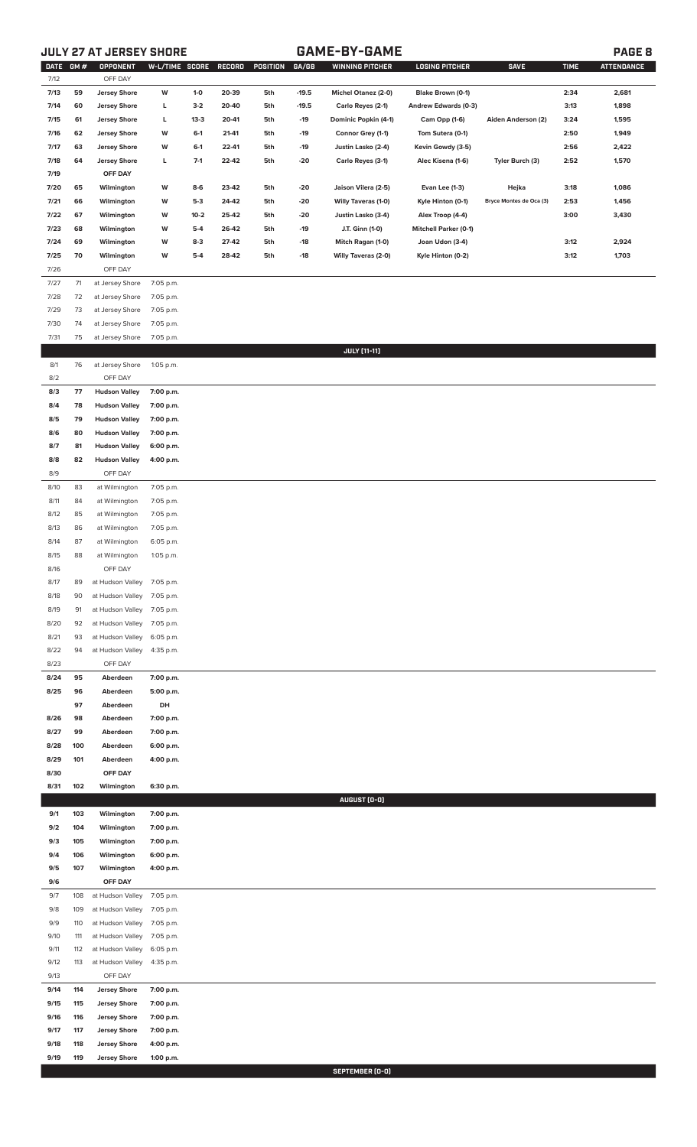# **JULY 27 AT JERSEY SHORE GAME-BY-GAME PAGE 8**

| DATE GM#<br>7/12 |            | OPPONENT<br>OFF DAY                          | W-L/TIME SCORE RECORD  |                 |                | POSITION GA/GB |                | <b>WINNING PITCHER</b>                  | <b>LOSING PITCHER</b>                 | <b>SAVE</b>             | <b>TIME</b>  | <b>ATTENDANCE</b> |
|------------------|------------|----------------------------------------------|------------------------|-----------------|----------------|----------------|----------------|-----------------------------------------|---------------------------------------|-------------------------|--------------|-------------------|
| 7/13             | 59         | <b>Jersey Shore</b>                          | W                      | $1-0$           | 20-39          | 5th            | $-19.5$        | <b>Michel Otanez (2-0)</b>              | Blake Brown (0-1)                     |                         | 2:34         | 2,681             |
| 7/14             | 60         | <b>Jersey Shore</b>                          | L                      | $3-2$           | 20-40          | 5th            | $-19.5$        | Carlo Reyes (2-1)                       | Andrew Edwards (0-3)                  |                         | 3:13         | 1,898             |
|                  | 61         |                                              | L                      | $13 - 3$        |                |                | $-19$          |                                         |                                       |                         |              | 1,595             |
| 7/15             |            | <b>Jersey Shore</b><br><b>Jersey Shore</b>   |                        |                 | 20-41          | 5th            |                | Dominic Popkin (4-1)                    | Cam Opp (1-6)                         | Aiden Anderson (2)      | 3:24         |                   |
| 7/16<br>7/17     | 62<br>63   | <b>Jersey Shore</b>                          | W<br>W                 | $6-1$<br>$6-1$  | 21-41<br>22-41 | 5th<br>5th     | $-19$<br>$-19$ | Connor Grey (1-1)<br>Justin Lasko (2-4) | Tom Sutera (0-1)<br>Kevin Gowdy (3-5) |                         | 2:50<br>2:56 | 1,949<br>2,422    |
| 7/18             | 64         | <b>Jersey Shore</b>                          | L                      | $7-1$           | 22-42          | 5th            | $-20$          | Carlo Reyes (3-1)                       | Alec Kisena (1-6)                     | Tyler Burch (3)         | 2:52         | 1,570             |
|                  |            |                                              |                        |                 |                |                |                |                                         |                                       |                         |              |                   |
| 7/19             |            | OFF DAY                                      |                        |                 |                |                |                |                                         |                                       |                         |              |                   |
| 7/20             | 65         | Wilmington                                   | W                      | $8-6$           | 23-42          | 5th            | $-20$          | Jaison Vilera (2-5)                     | Evan Lee (1-3)                        | Hejka                   | 3:18         | 1,086             |
| 7/21             | 66         | Wilmington                                   | W                      | $5-3$           | 24-42          | 5th            | $-20$          | Willy Taveras (1-0)                     | Kyle Hinton (0-1)                     | Bryce Montes de Oca (3) | 2:53         | 1,456             |
| 7/22             | 67<br>68   | Wilmington                                   | W                      | $10-2$<br>$5-4$ | 25-42          | 5th            | $-20$          | Justin Lasko (3-4)                      | Alex Troop (4-4)                      |                         | 3:00         | 3,430             |
| 7/23             | 69         | Wilmington                                   | w<br>W                 |                 | 26-42          | 5th            | $-19$          | J.T. Ginn (1-0)                         | Mitchell Parker (0-1)                 |                         |              |                   |
| 7/24             |            | Wilmington                                   |                        | $8-3$           | 27-42          | 5th            | $-18$          | Mitch Ragan (1-0)                       | Joan Udon (3-4)                       |                         | 3:12         | 2,924             |
| 7/25             | 70         | Wilmington                                   | W                      | $5 - 4$         | 28-42          | 5th            | $-18$          | Willy Taveras (2-0)                     | Kyle Hinton (0-2)                     |                         | 3:12         | 1,703             |
| 7/26             | 71         | OFF DAY                                      |                        |                 |                |                |                |                                         |                                       |                         |              |                   |
| 7/27             |            | at Jersey Shore                              | 7:05 p.m.              |                 |                |                |                |                                         |                                       |                         |              |                   |
| 7/28             | 72         | at Jersey Shore                              | 7:05 p.m.              |                 |                |                |                |                                         |                                       |                         |              |                   |
| 7/29             | 73         | at Jersey Shore                              | 7:05 p.m.              |                 |                |                |                |                                         |                                       |                         |              |                   |
| 7/30             | 74         | at Jersey Shore                              | 7:05 p.m.              |                 |                |                |                |                                         |                                       |                         |              |                   |
| 7/31             | 75         | at Jersey Shore                              | 7:05 p.m.              |                 |                |                |                | <b>JULY</b> [11-11]                     |                                       |                         |              |                   |
| 8/1              | 76         | at Jersey Shore                              | 1:05 p.m.              |                 |                |                |                |                                         |                                       |                         |              |                   |
| 8/2              |            | OFF DAY                                      |                        |                 |                |                |                |                                         |                                       |                         |              |                   |
|                  | 77         |                                              |                        |                 |                |                |                |                                         |                                       |                         |              |                   |
| 8/3<br>8/4       | 78         | <b>Hudson Valley</b><br><b>Hudson Valley</b> | 7:00 p.m.<br>7:00 p.m. |                 |                |                |                |                                         |                                       |                         |              |                   |
| 8/5              | 79         | <b>Hudson Valley</b>                         | 7:00 p.m.              |                 |                |                |                |                                         |                                       |                         |              |                   |
| 8/6              | 80         | <b>Hudson Valley</b>                         | 7:00 p.m.              |                 |                |                |                |                                         |                                       |                         |              |                   |
| 8/7              | 81         | <b>Hudson Valley</b>                         | 6:00 p.m.              |                 |                |                |                |                                         |                                       |                         |              |                   |
| 8/8              | 82         | <b>Hudson Valley</b>                         | 4:00 p.m.              |                 |                |                |                |                                         |                                       |                         |              |                   |
| 8/9              |            | OFF DAY                                      |                        |                 |                |                |                |                                         |                                       |                         |              |                   |
| 8/10             | 83         | at Wilmington                                | 7:05 p.m.              |                 |                |                |                |                                         |                                       |                         |              |                   |
| 8/11             | 84         | at Wilmington                                | 7:05 p.m.              |                 |                |                |                |                                         |                                       |                         |              |                   |
| 8/12             | 85         | at Wilmington                                | 7:05 p.m.              |                 |                |                |                |                                         |                                       |                         |              |                   |
| 8/13             | 86         | at Wilmington                                | 7:05 p.m.              |                 |                |                |                |                                         |                                       |                         |              |                   |
| 8/14             | 87         | at Wilmington                                | 6:05 p.m.              |                 |                |                |                |                                         |                                       |                         |              |                   |
| 8/15             | 88         | at Wilmington                                | 1:05 p.m.              |                 |                |                |                |                                         |                                       |                         |              |                   |
| 8/16             |            | OFF DAY                                      |                        |                 |                |                |                |                                         |                                       |                         |              |                   |
| 8/17             | 89         | at Hudson Valley                             | 7:05 p.m.              |                 |                |                |                |                                         |                                       |                         |              |                   |
| 8/18             | 90         | at Hudson Valley                             | 7:05 p.m.              |                 |                |                |                |                                         |                                       |                         |              |                   |
| 8/19             | 91         | at Hudson Valley                             | 7:05 p.m.              |                 |                |                |                |                                         |                                       |                         |              |                   |
| 8/20             | 92         | at Hudson Valley                             | 7:05 p.m.              |                 |                |                |                |                                         |                                       |                         |              |                   |
| 8/21             | 93         | at Hudson Valley                             | 6:05 p.m.              |                 |                |                |                |                                         |                                       |                         |              |                   |
| 8/22             | 94         | at Hudson Valley                             | 4:35 p.m.              |                 |                |                |                |                                         |                                       |                         |              |                   |
| 8/23             |            | OFF DAY                                      |                        |                 |                |                |                |                                         |                                       |                         |              |                   |
| 8/24             | 95         | Aberdeen                                     | 7:00 p.m.              |                 |                |                |                |                                         |                                       |                         |              |                   |
| 8/25             | 96         | Aberdeen                                     | 5:00 p.m.              |                 |                |                |                |                                         |                                       |                         |              |                   |
|                  | 97         | Aberdeen                                     | DH                     |                 |                |                |                |                                         |                                       |                         |              |                   |
| 8/26             | 98         | Aberdeen                                     | 7:00 p.m.              |                 |                |                |                |                                         |                                       |                         |              |                   |
| 8/27             | 99         | Aberdeen                                     | 7:00 p.m.              |                 |                |                |                |                                         |                                       |                         |              |                   |
| 8/28             | 100        | Aberdeen                                     | 6:00 p.m.              |                 |                |                |                |                                         |                                       |                         |              |                   |
| 8/29             | 101        | Aberdeen                                     | 4:00 p.m.              |                 |                |                |                |                                         |                                       |                         |              |                   |
| 8/30             |            | OFF DAY                                      |                        |                 |                |                |                |                                         |                                       |                         |              |                   |
| 8/31             | 102        | Wilmington                                   | 6:30 p.m.              |                 |                |                |                |                                         |                                       |                         |              |                   |
|                  |            |                                              |                        |                 |                |                |                | AUGUST (0-0)                            |                                       |                         |              |                   |
| 9/1              | 103        | Wilmington                                   | 7:00 p.m.              |                 |                |                |                |                                         |                                       |                         |              |                   |
| 9/2              | 104<br>105 | Wilmington                                   | 7:00 p.m.              |                 |                |                |                |                                         |                                       |                         |              |                   |
| 9/3              | 106        | Wilmington                                   | 7:00 p.m.              |                 |                |                |                |                                         |                                       |                         |              |                   |
| 9/4              | 107        | Wilmington                                   | 6:00 p.m.              |                 |                |                |                |                                         |                                       |                         |              |                   |
| 9/5<br>9/6       |            | Wilmington<br>OFF DAY                        | 4:00 p.m.              |                 |                |                |                |                                         |                                       |                         |              |                   |
| 9/7              | 108        | at Hudson Valley                             | 7:05 p.m.              |                 |                |                |                |                                         |                                       |                         |              |                   |
| 9/8              | 109        | at Hudson Valley                             | 7:05 p.m.              |                 |                |                |                |                                         |                                       |                         |              |                   |
| 9/9              | 110        | at Hudson Valley                             | 7:05 p.m.              |                 |                |                |                |                                         |                                       |                         |              |                   |
| 9/10             | 111        | at Hudson Valley                             | 7:05 p.m.              |                 |                |                |                |                                         |                                       |                         |              |                   |
| 9/11             | 112        | at Hudson Valley                             | 6:05 p.m.              |                 |                |                |                |                                         |                                       |                         |              |                   |
| 9/12             | 113        | at Hudson Valley                             | 4:35 p.m.              |                 |                |                |                |                                         |                                       |                         |              |                   |
| 9/13             |            | OFF DAY                                      |                        |                 |                |                |                |                                         |                                       |                         |              |                   |
| 9/14             | 114        | <b>Jersey Shore</b>                          | 7:00 p.m.              |                 |                |                |                |                                         |                                       |                         |              |                   |
| 9/15             | 115        | <b>Jersey Shore</b>                          | 7:00 p.m.              |                 |                |                |                |                                         |                                       |                         |              |                   |
| 9/16             | 116        | <b>Jersey Shore</b>                          | 7:00 p.m.              |                 |                |                |                |                                         |                                       |                         |              |                   |
| 9/17             | 117        | <b>Jersey Shore</b>                          | 7:00 p.m.              |                 |                |                |                |                                         |                                       |                         |              |                   |
| 9/18             | 118        | <b>Jersey Shore</b>                          | 4:00 p.m.              |                 |                |                |                |                                         |                                       |                         |              |                   |
| 9/19             | 119        | <b>Jersey Shore</b>                          | 1:00 p.m.              |                 |                |                |                |                                         |                                       |                         |              |                   |
|                  |            |                                              |                        |                 |                |                |                | SEPTEMBER (0-0)                         |                                       |                         |              |                   |